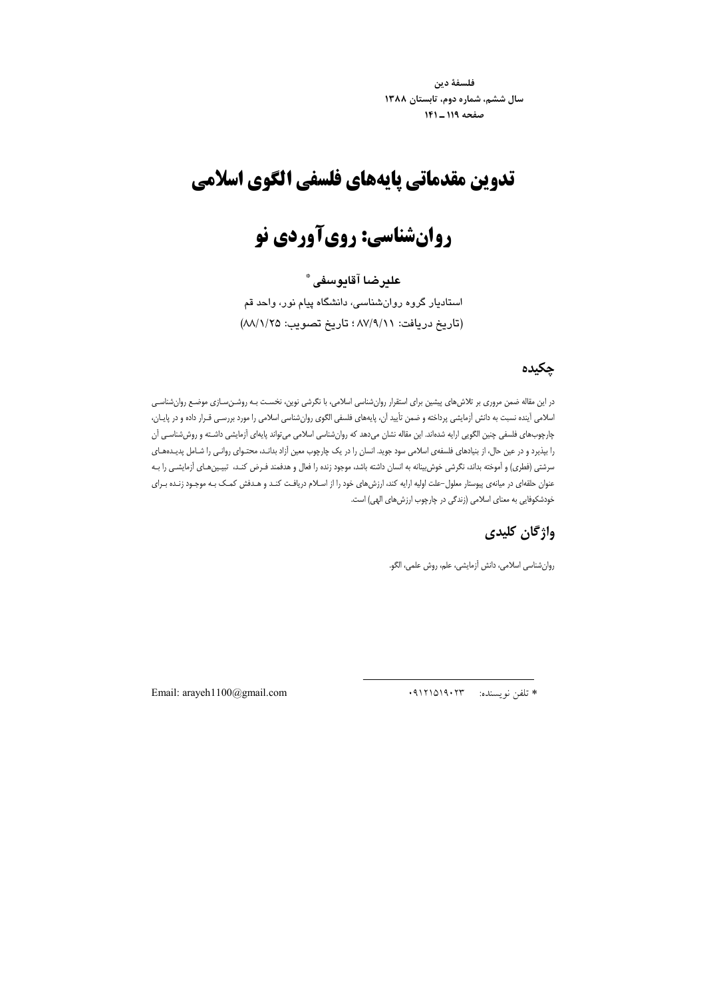فلسفة دين سال ششم، شماره دوم، تابستان ۱۳۸۸ صفحه ١١٩ ـ ١٤١

## تدوين مقدماتي يايههاي فلسفى الكوى اسلامي

# روانشناسي: روي آوردي نو

## علير ضا آقايوسفي \*

استادیار گروه روانشناسی، دانشگاه پیام نور، واحد قم (تاریخ دریافت: ٨٧/٩/١١ ؛ تاریخ تصویب: ٨٨/١/٢٥)

#### چکیدہ

در این مقاله ضمن مروری بر تلاش های پیشین برای استقرار روان شناسی اسلامی، با نگرشی نوین، نخسـت بـه روشـن سـازی موضـع روان شناسـی اسلامی أينده نسبت به دانش أزمايشي پرداخته و ضمن تأييد أن، پايههاي فلسفي الگوي روانشناسي اسلامي را مورد بررسي قـرار داده و در پايـان، ۔<br>چارچوبھای فلسفی چنین الگویی ارایه شدہاند. این مقاله نشان میدھد که روان شناسی اسلامی می *ت*واند پایهای آزمایشی داشـته و روش شناسـی آن را بپذیرد و در عین حال، از بنیادهای فلسفهی اسلامی سود جوید. انسان را در یک چارچوب معین آزاد بدانـد، محتـوای روانـی را شـامل پدیـدههـای سرشتی (فطری) و اَموخته بداند، نگرشی خوش بینانه به انسان داشته باشد، موجود زنده را فعال و هدفمند فـرض کنـد، تبيـینهـای اَزمایشـی را بـه عنوان حلقهای در میانهی پیوستار معلول-علت اولیه ارایه کند، ارزش های خود را از اسلام دریافت کنـد و هـدفش کمـک بـه موجـود زنـده بـرای خودشکوفایی به معنای اسلامی (زندگی در چارچوب ارزشهای الهی) است.

## واژگان کلیدی

روانشناسي اسلامي، دانش آزمايشي، علم، روش علمي، الگو.

\* تلفن نويسنده: ۰۹۱۲۱۵۱۹۰۲۳

Email: arayeh1100@gmail.com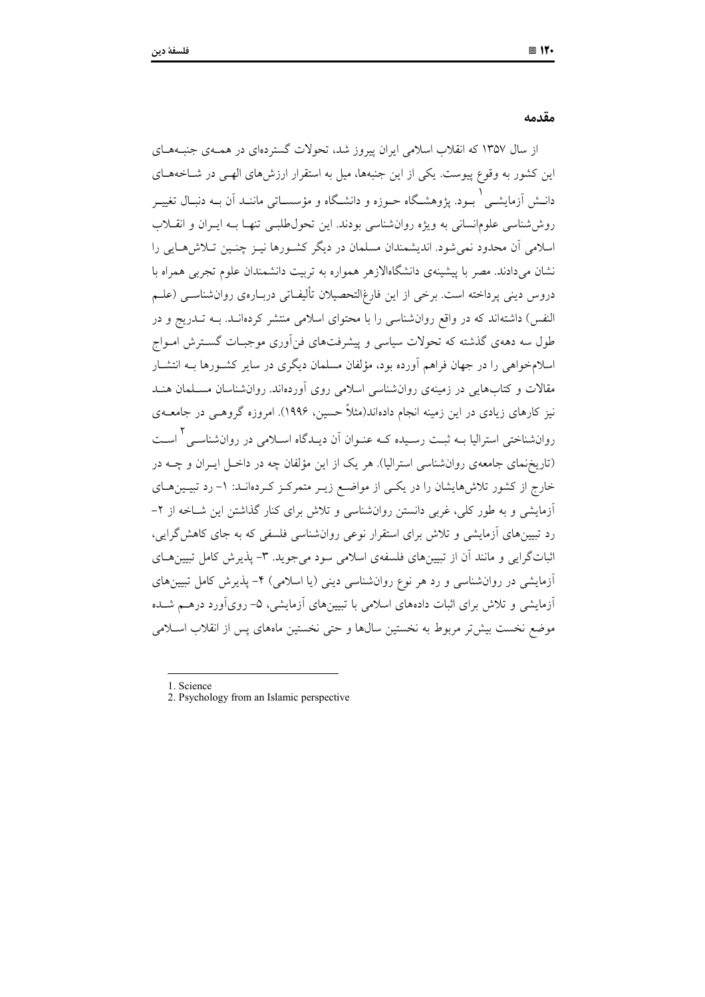#### مقدمه

از سال ۱۳۵۷ که انقلاب اسلامی ایران پیروز شد، تحولات گستردهای در همـهی جنبـههـای این کشور به وقوع پیوست. یکی از این جنبهها، میل به استقرار ارزش های الهـم در شـاخههـای دانــش اَزمايشــي ْ بــود. يژوهشــگاه حــوزه و دانشــگاه و مؤسســاتي ماننــد اَن بــه دنبــال تغييــر روششناسی علومانسانی به ویژه روان شناسی بودند. این تحول طلبـی تنهـا بـه ایـران و انقــلاب اسلامی آن محدود نمی شود. اندیشمندان مسلمان در دیگر کشـورها نیـز چنـین تـلاش۱صایی را نشان میدادند. مصر با پیشینهی دانشگاهالازهر همواره به تربیت دانشمندان علوم تجربی همراه با دروس دینی پرداخته است. برخی از این فارغ|لتحصیلان تألیفـاتی دربــارهی روانشناســی (علــم النفس) داشتهاند که در واقع روان شناسی را با محتوای اسلامی منتشر کردهانـد. بــه تــدریج و در طول سه دههی گذشته که تحولات سیاسی و پیشرفتهای فنآوری موجبـات گســترش امــواج اسلامخواهی را در جهان فراهم آورده بود، مؤلفان مسلمان دیگری در سایر کشـورها بــه انتشــار مقالات و کتابهایی در زمینهی روان شناسی اسلامی روی آوردهاند. روان شناسان مسلمان هنـد نیز کارهای زیادی در این زمینه انجام دادهاند(مثلاً حسین، ۱۹۹۶). امروزه گروهــی در جامعــهی روانشناختی استرالیا بــه ثبـت رسـیده کــه عنــوان آن دیــدگاه اســلامی در روانشناســ ۲٫ اسـت (تاریخ نمای جامعهی روان شناسی استرالیا). هر یک از این مؤلفان چه در داخـل ایـران و چــه در خارج از کشور تلاش،هایشان را در یکسی از مواضع زیـر متمرکـز کـردهانـد: ۱– رد تبیـین،هـای أزمایشی و به طور کلی، غربی دانستن روانشناسی و تلاش برای کنار گذاشتن این شـاخه از ۲-رد تبیینهای آزمایشی و تلاش برای استقرار نوعی روانشناسی فلسفی که به جای کاهش گرایی، اثباتگرایی و مانند آن از تبیینهای فلسفهی اسلامی سود می جوید. ۳- پذیرش کامل تبیینهـای أزمایشی در روانشناسی و رد هر نوع روانشناسی دینی (یا اسلامی) ۴– پذیرش کامل تبیینهای أزمایشی و تلاش برای اثبات دادههای اسلامی با تبیینهای آزمایشی، ۵– رویآورد درهـم شـده موضع نخست بیش تر مربوط به نخستین سال۱ها و حتی نخستین ماههای پس از انقلاب اسـلامی

- 1. Science
- 2. Psychology from an Islamic perspective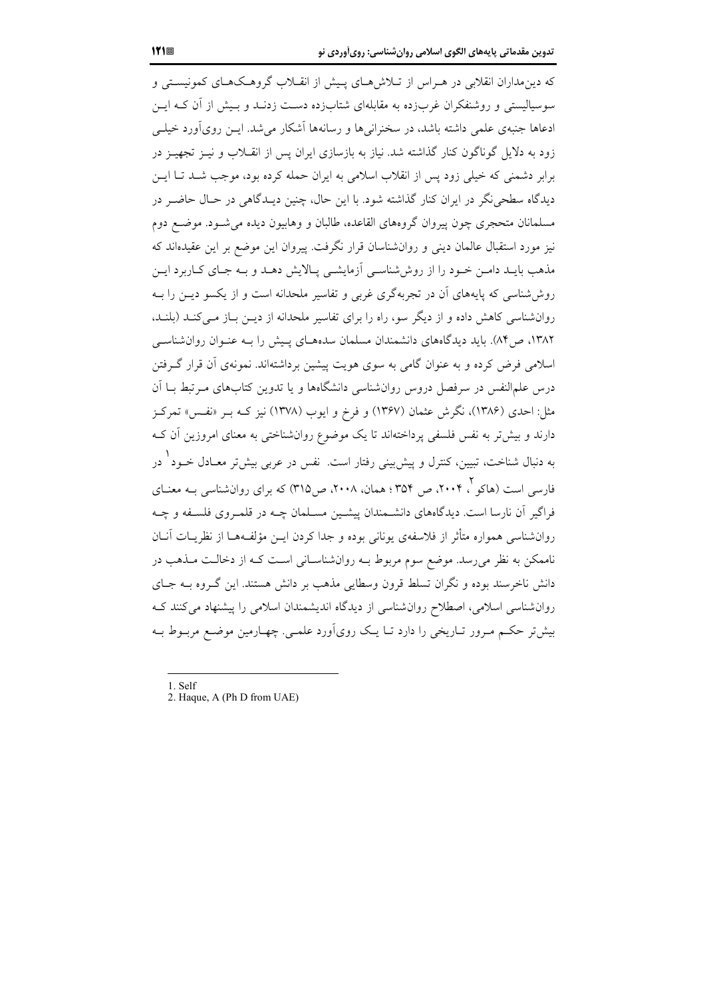که دین مداران انقلابی در هـراس از تـلاش۱صای پـیش از انقـلاب گروهـک۱هـای کمونیسـتی و سوسیالیستی و روشنفکران غربزده به مقابلهای شتابزده دست زدنـد و بـیش از آن کـه ایــن ادعاها جنبهی علمی داشته باشد، در سخنرانی ها و رسانهها آشکار می شد. ایــن رویآورد خیلــی زود به دلایل گوناگون کنار گذاشته شد. نیاز به بازسازی ایران پس از انقــلاب و نیــز تجهیــز در برابر دشمنی که خیلی زود پس از انقلاب اسلامی به ایران حمله کرده بود، موجب شــد تــا ایــن دیدگاه سطحی نگر در ایران کنار گذاشته شود. با این حال، چنین دیـدگاهی در حـال حاضـر در مسلمانان متحجري چون ييروان گروههاي القاعده، طالبان و وهابيون ديده مي شــود. موضــع دوم نیز مورد استقبال عالمان دینی و روانشناسان قرار نگرفت. پیروان این موضع بر این عقیدهاند که مذهب بایـد دامـن خـود را از روششناسـی آزمایشـی پـالایش دهـد و بـه جـای کـاربرد ایـن روششناسی که پایههای آن در تجربهگری غربی و تفاسیر ملحدانه است و از یکسو دیــن را بــه روانشناسی کاهش داده و از دیگر سو، راه را برای تفاسیر ملحدانه از دیــن بــاز مــی کنــد (بلنــد، ۱۳۸۲، ص۸۴). باید دیدگاههای دانشمندان مسلمان سدههای پیش را بـه عنـوان روانشناسـی اسلامی فرض کرده و به عنوان گامی به سوی هویت پیشین برداشتهاند. نمونهی آن قرار گرفتن درس علمالنفس در سرفصل دروس روانشناسی دانشگاهها و یا تدوین کتابهای مـرتبط بــا اَن مثل: احدی (۱۳۸۶)، نگرش عثمان (۱۳۶۷) و فرخ و ایوب (۱۳۷۸) نیز کـه بـر «نفـس» تمرکـز دارند و بیشتر به نفس فلسفی پرداختهاند تا یک موضوع روانشناختی به معنای امروزین آن ک به دنبال شناخت، تبیین، کنترل و پیش بینی رفتار است. نفس در عربی پیش تر معیادل خیود <sup>۱</sup> در فارس<sub>ه،</sub> است (هاکو <sup>۲</sup>، ۲۰۰۴، ص ۳۵۴ ؛ همان، ۲۰۰۸، ص۳۱۵) که برای روانشناسی بــه معنــای فراگیر آن نارسا است. دیدگاههای دانشــمندان پیشــین مســلمان چــه در قلمــروی فلســفه و چــه روانشناسی همواره متأثر از فلاسفهی یونانی بوده و جدا کردن ایــن مؤلفـههــا از نظریــات آنــان ناممکن به نظر میرسد. موضع سوم مربوط بـه روانشناسـانی اسـت کـه از دخالـت مـذهب در دانش ناخرسند بوده و نگران تسلط قرون وسطایی مذهب بر دانش هستند. این گـروه بــه جــای روانشناسی اسلامی، اصطلاح روانشناسی از دیدگاه اندیشمندان اسلامی را پیشنهاد میکنند ک بیش تر حکـم مـرور تــاریخی را دارد تــا یــک رویآورد علمــی. چهــارمین موضـع مربــوط بــه

1. Self

<sup>2.</sup> Haque, A (Ph D from UAE)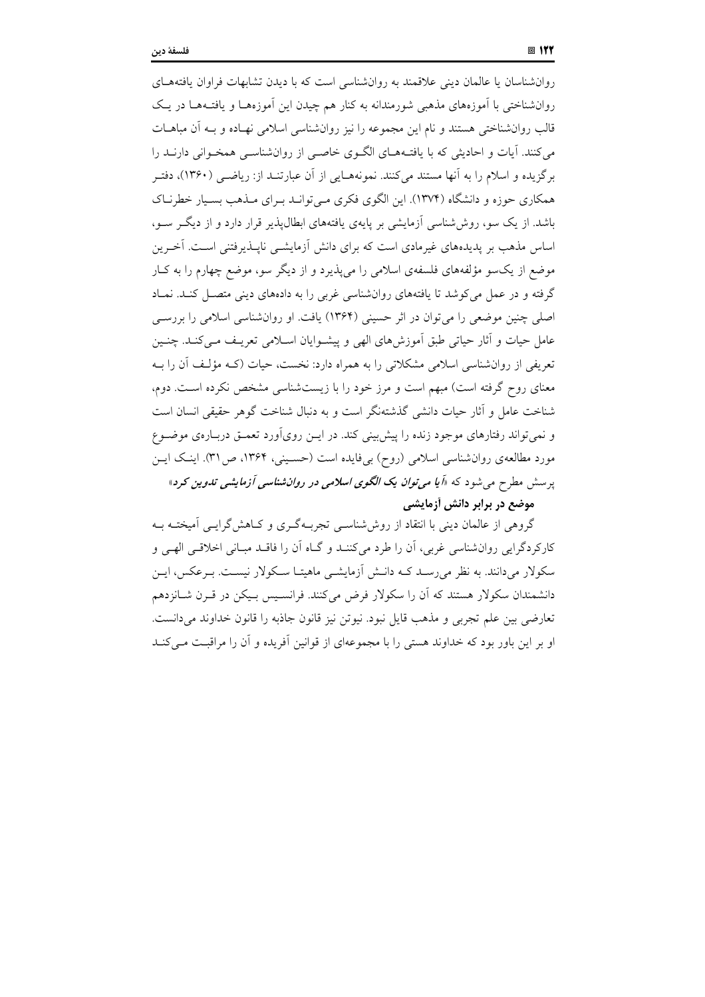روانشناسان یا عالمان دینی علاقمند به روانشناسی است که با دیدن تشابهات فراوان یافتههـای روانشناختی با اَموزههای مذهبی شورمندانه به کنار هم چیدن این اَموزههـا و یافتــههــا در یــک قالب روانشناختی هستند و نام این مجموعه را نیز روانشناسی اسلامی نهـاده و بـه آن مباهــات می کنند. آیات و احادیثی که با یافتـههـای الگـوی خاصـی از روانشناسـی همخـوانی دارنــد را برگزیده و اسلام را به آنها مستند می کنند. نمونههـایی از آن عبارتنــد از: ریاضــی (۱۳۶۰)، دفتـر همکاری حوزه و دانشگاه (۱۳۷۴). این الگوی فکری میتوانـد بـرای مـذهب بسـیار خطرنـاک باشد. از یک سو، روش شناسی آزمایشی بر پایهی یافتههای ابطال پذیر قرار دارد و از دیگر سو، اساس مذهب بر پدیدههای غیرمادی است که برای دانش آزمایشــی ناپــذیرفتنی اســت. اَخــرین موضع از یکسو مؤلفههای فلسفهی اسلامی را می پذیرد و از دیگر سو، موضع چهارم را به کبار گرفته و در عمل می کوشد تا یافتههای روان شناسی غربی را به دادههای دینی متصـل کنـد. نمـاد اصلي چنين موضعي را مي توان در اثر حسيني (١٣۶۴) يافت. او روان شناسي اسلامي را بررسي عامل حیات و آثار حیاتی طبق آموزشهای الهی و پیشـوایان اسـلامی تعریـف مـیکنـد. چنـین تعریفی از روانشناسی اسلامی مشکلاتی را به همراه دارد: نخست، حیات (کـه مؤلـف آن را بـه معنای روح گرفته است) مبهم است و مرز خود را با زیستشناسی مشخص نکرده است. دوم، شناخت عامل و آثار حیات دانشی گذشتهنگر است و به دنبال شناخت گوهر حقیقی انسان است و نمی تواند رفتارهای موجود زنده را پیش بینی کند. در ایــن رویآورد تعمــق دربــارهی موضــوع مورد مطالعهی روان شناسی اسلامی (روح) بیفایده است (حسـینی، ۱۳۶۴، ص۳۱). اینـک ایـن پرسش مطرح می شود که «اً *یا می توان یک الگوی اسلامی در روان شناسی آزمایشی تدوین کرد*»

#### موضع در برابر دانش أزمايشي

گروهی از عالمان دینی با انتقاد از روششناسی تجربهگری و کـاهش گرایـی آمیختـه بـه کارکردگرایی روانشناسی غربی، اَن را طرد میکننـد و گــاه اَن را فاقــد مبــانی اخلاقــی الهــی و سکولار میدانند. به نظر میرسـد کـه دانـش آزمایشـی ماهیتـا سـکولار نیسـت. بـرعکس، ایـن دانشمندان سکولار هستند که آن را سکولار فرض می کنند. فرانسـیس بـیکن در قـرن شـانزدهم تعارضي بين علم تجربي و مذهب قايل نبود. نيوتن نيز قانون جاذبه را قانون خداوند مي دانست. او بر این باور بود که خداوند هستی را با مجموعهای از قوانین آفریده و آن را مراقبت مے کنـد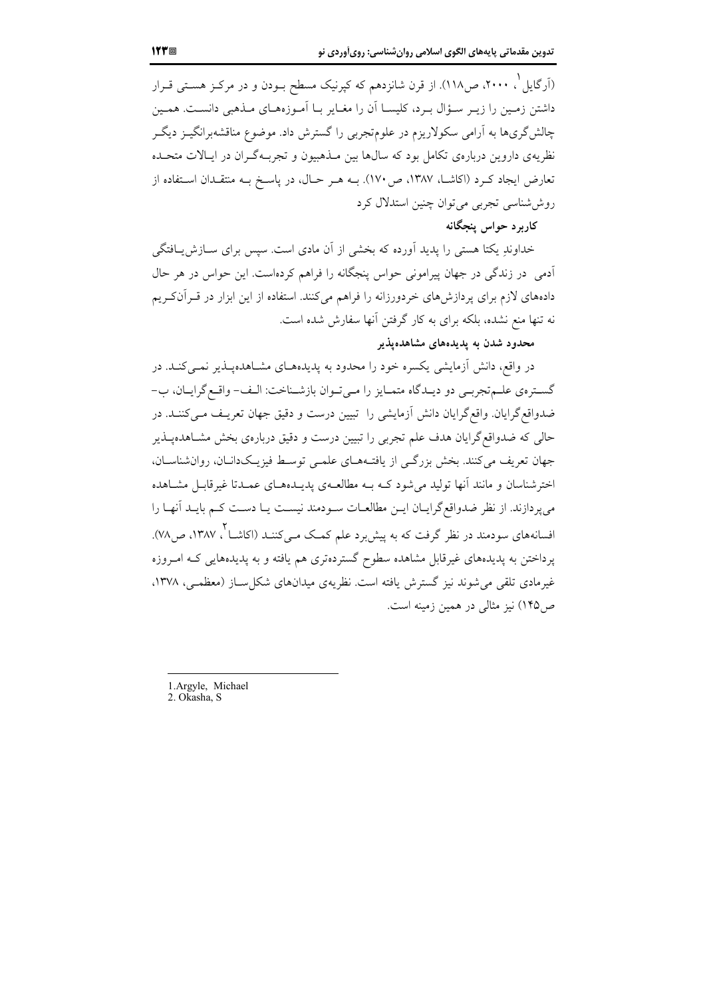(اَرگایل ْ، ۲۰۰۰، ص۱۱۸). از قرن شانزدهم که کپرنیک مسطح بــودن و در مرکــز هســتـی قــرار داشتن زمـین را زیـر سـؤال بـرد، کلیســا آن را مغــایر بــا آمـوزههــای مــذهبی دانســت. همـین چالش گریها به آرامی سکولاریزم در علوم¤جربی را گسترش داد. موضوع مناقشهبرانگیــز دیگــر نظریهی داروین دربارهی تکامل بود که سالها بین مـذهبیون و تجربـهگـران در ایـالات متحـده تعارض ایجاد کـرد (اکاشــا، ۱۳۸۷، ص۱۷۰). بــه هــر حــال، در یاســخ بــه منتقــدان اســتفاده از روششاسی تجربی می توان چنین استدلال کرد

## کارېږ د حواس پنجگانه

خداوندِ یکتا هستی را پدید آورده که بخشی از آن مادی است. سپس برای سـازش بـافتگی ۔<br>آدمی در زندگی در جهان پیرامونی حواس پنجگانه را فراهم کردهاست. این حواس در هر حال دادههای لازم برای پردازشهای خردورزانه را فراهم میکنند. استفاده از این ابزار در قـرآنکـریم نه تنها منع نشده، بلکه برای به کار گرفتن آنها سفارش شده است.

## محدود شدن به پدیدههای مشاهدهپذیر

در واقع، دانش اَزمایشی یکسره خود را محدود به پدیدههـای مشـاهدهیـذیر نمـیکنـد. در گسترهي علـم تجربـي دو ديـدگاه متمـايز را مـي تـوان بازشـناخت: الـف- واقـع گرايـان، ب-ضدواقع گرایان. واقع گرایان دانش آزمایشی را تبیین درست و دقیق جهان تعریـف مـیکننـد. در حالی که ضدواقع گرایان هدف علم تجربی را تبیین درست و دقیق دربارهی بخش مشـاهدهپـذیر جهان تعریف می کنند. بخش بزرگی از یافتـههـای علمـی توسـط فیزیـکدانـان، روانشناسـان، اخترشناسان و مانند انها تولید میشود کـه بــه مطالعــهی پدیــدههــای عمــدتا غیرقابــل مشــاهده می پردازند. از نظر ضدواقع گرایـان ایـن مطالعـات سـودمند نیسـت یـا دسـت کـم بایـد آنهـا را افسانههای سودمند در نظر گرفت که به پیش د علم کمک مـیکننــد (اکاشــا <sup>۲</sup> ، ۱۳۸۷، ص۷۸). پرداختن به پدیدههای غیرقابل مشاهده سطوح گستردهتری هم یافته و به پدیدههایی کـه امـروزه غیرمادی تلقی می شوند نیز گسترش یافته است. نظریهی میدانهای شکل سـاز (معظمـی، ۱۳۷۸، ص ۱۴۵) نیز مثالی در همین زمینه است.

1.Argyle, Michael

2. Okasha, S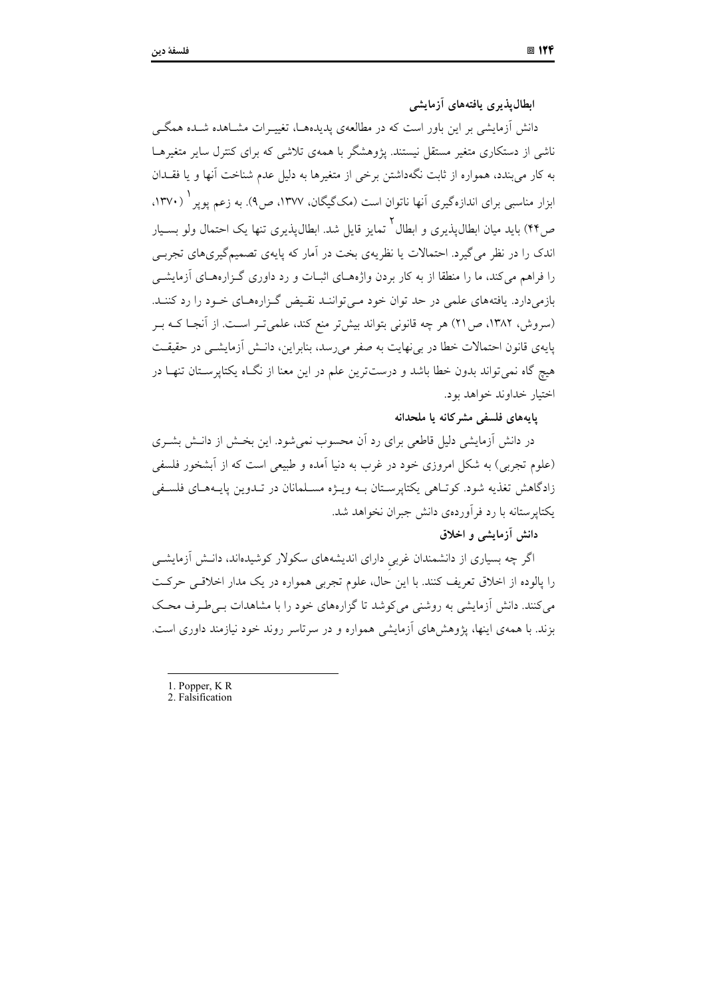ابطال پذیری پافتههای آزمایشی

دانش آزمایشی بر این باور است که در مطالعهی پدیدههـا، تغییـرات مشـاهده شـده همگـی ناشی از دستکاری متغیر مستقل نیستند. یژوهشگر با همهی تلاشی که برای کنترل سایر متغیرهـا به کار می بندد، همواره از ثابت نگهداشتن برخی از متغیرها به دلیل عدم شناخت آنها و یا فقــدان ابزار مناسبی برای اندازهگیری آنها ناتوان است (مکگیگان، ۱۳۷۷، ص۹). به زعم یویر <sup>۱</sup> (۱۳۷۰، ص۴۴) باید میان ابطالپذیری و ابطال<sup>۲</sup> تمایز قایل شد. ابطالپذیری تنها یک احتمال ولو بسـیار اندک را در نظر می گیرد. احتمالات یا نظریهی بخت در آمار که پایهی تصمیمگیریهای تجربے را فراهم میکند، ما را منطقا از به کار بردن واژههای اثبـات و رد داوری گـزارههـای آزمایشــی بازمیدارد. یافتههای علمی در حد توان خود مـیتواننـد نقـیض گـزارههـای خـود را رد کننـد. (سروش، ۱۳۸۲، ص۲۱) هر چه قانونی بتواند بیشتر منع کند، علمیتر است. از آنجا کـه بـر پایهی قانون احتمالات خطا در به نهایت به صفر می رسد، بنابراین، دانـش آزمایشــی در حقیقــت هیچ گاه نمی تواند بدون خطا باشد و درستترین علم در این معنا از نگ|ه یکتاپرسـتان تنهـا در اختيار خداوند خواهد بود.

#### يايەھاي فلسفى مشركانه يا ملحدانه

در دانش آزمایشی دلیل قاطعی برای رد اَن محسوب نمیشود. این بخـش از دانـش بشــری (علوم تجربی) به شکل امروزی خود در غرب به دنیا آمده و طبیعی است که از آبشخور فلسفی زادگاهش تغذیه شود. کوتـاهی یکتاپرسـتان بـه ویـژه مسـلمانان در تـدوین پایـههـای فلسـفی یکتایر ستانه با رد فرآوردهی دانش جبران نخواهد شد.

## دانش آزمایشی و اخلاق

اگر چه بسیاری از دانشمندان غربی دارای اندیشههای سکولار کوشیدهاند، دانـش اّزمایشـی را پالوده از اخلاق تعریف کنند. با این حال، علوم تجربی همواره در یک مدار اخلاقی حرکت می کنند. دانش آزمایشی به روشنی می کوشد تا گزارههای خود را با مشاهدات بے طرف محک بزند. با همهی اینها، پژوهش های آزمایشی همواره و در سرتاسر روند خود نیازمند داوری است.

<sup>1.</sup> Popper, KR

<sup>2.</sup> Falsification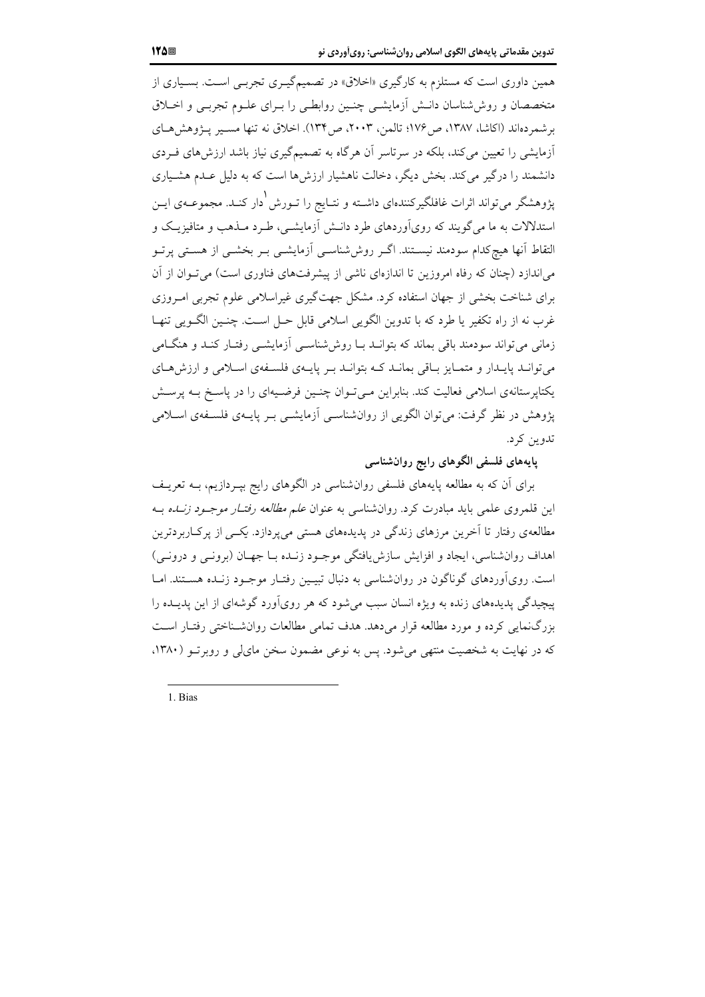همین داوری است که مستلزم به کارگیری «اخلاق» در تصمیمگیـری تجربـی اسـت. بسـیاری از متخصصان و روش شناسان دانــش أزمايشــي چنــين روابطــي را بــراي علــوم تجربــي و اخــلاق برشم دهاند (اكاشا، ١٣٨٧، ص١٧۶؛ تالمن، ٢٠٠٣، ص١٣۴). اخلاق نه تنها مسير يـژوهش هـاي آزمایشی را تعیین می کند، بلکه در سرتاسر آن هرگاه به تصمیمگیری نیاز باشد ارزش های فـردی دانشمند را درگیر می کند. بخش دیگر، دخالت ناهشیار ارزش ها است که به دلیل عـدم هشـیاری پژوهشگر میتواند اثرات غافلگیرکنندهای داشـته و نتــایج را تــورش <sup>(</sup>دار کنــد. مجموعــهی ایــن استدلالات به ما می گویند که رویآوردهای طرد دانــش آزمایشــی، طـرد مــذهب و متافیزیــک و التقاط آنها هیچکدام سودمند نیسـتند. اگــر روششناســی آزمایشــی بــر بخشــی از هسـتـی پرتــو میاندازد (چنان که رفاه امروزین تا اندازهای ناشی از پیشرفتهای فناوری است) می تـوان از آن برای شناخت بخشی از جهان استفاده کرد. مشکل جهتگیری غیراسلامی علوم تجربی امـروزی غرب نه از راه تکفیر یا طرد که با تدوین الگویی اسلامی قابل حـل اسـت. چنـین الگــویی تنهـا زمانی می تواند سودمند باقی بماند که بتوانــد بــا روش شناســی آزمایشــی رفتــار کنــد و هنگــامی مي توانـد پايـدار و متمـايز بــاقي بمانــد كــه بتوانــد بــر پايــهي فلســفهي اســلامي و ارزش&ـاي یکتایرستانهی اسلامی فعالیت کند. بنابراین می توان چنسین فرضـیهای را در پاسـخ بـه پرســش پژوهش در نظر گرفت: می توان الگویی از روانشناسـی آزمایشـی بـر پایــهی فلسـفهی اسـلامی تدوين کړ د.

پایههای فلسفی الگوهای رایج روان شناسی

برای آن که به مطالعه پایههای فلسفی روانشناسی در الگوهای رایج بپـردازیم، بــه تعریــف این قلمروی علمی باید مبادرت کرد. روانشناسی به عنوان *علم مطالعه رفتـار موجـود زنــده* بــه مطالعهی رفتار تا آخرین مرزهای زندگی در پدیدههای هستی می پردازد. یکسی از پرکاربردترین اهداف روانشناسی، ایجاد و افزایش سازش یافتگی موجـود زنـده بـا جهـان (برونــی و درونــی) است. رویآوردهای گوناگون در روانشناسی به دنبال تبیـین رفتـار موجـود زنـده هسـتند. امـا پیچیدگی پدیدههای زنده به ویژه انسان سبب میشود که هر رویآورد گوشهای از این پدیــده را بزرگنمایی کرده و مورد مطالعه قرار میدهد. هدف تمامی مطالعات روانشـناختی رفتـار اسـت که در نهایت به شخصیت منتهی می شود. پس به نوعی مضمون سخن مای لی و روبرتو (۱۳۸۰،

1. Bias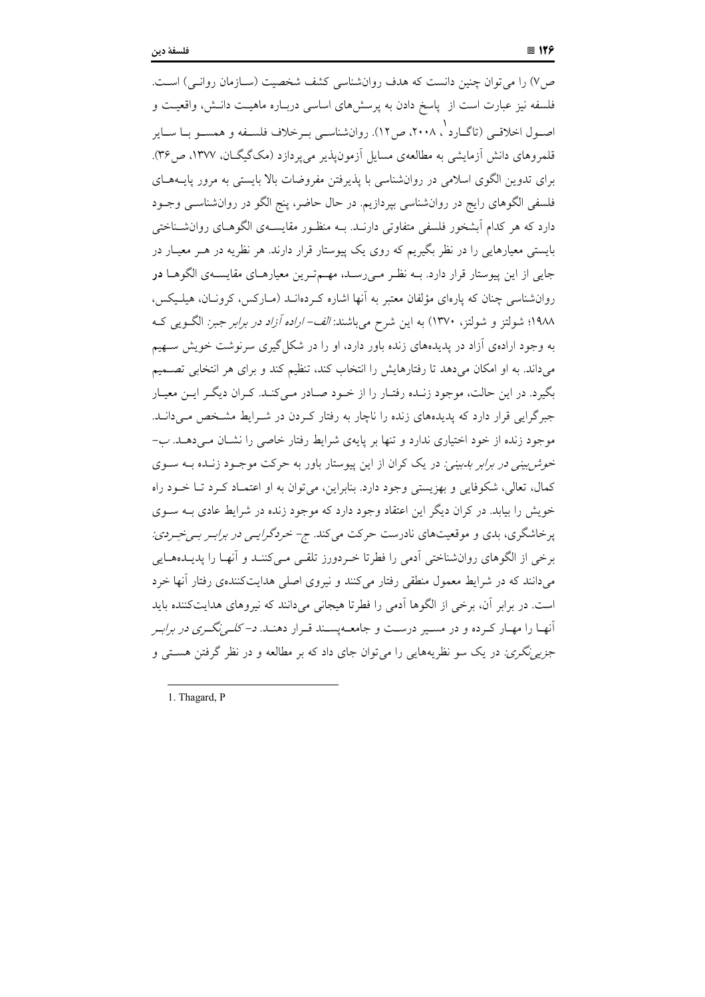ص) را می توان چنین دانست که هدف روانشناسی کشف شخصیت (سـازمان روانـی) اسـت. فلسفه نیز عبارت است از پاسخ دادن به پرسشهای اساسی دربـاره ماهیـت دانـش، واقعیـت و اصـول اخلاقـي (تاگــارد '، ۲۰۰۸، ص۱۲). روانشناسـي بـرخلاف فلســفه و همســو بــا ســاير قلمروهای دانش آزمایشی به مطالعهی مسایل آزمون پذیر می پردازد (مکگیگــان، ۱۳۷۷، ص۳۶). برای تدوین الگوی اسلامی در روانشناسی با پذیرفتن مفروضات بالا بایستی به مرور پایــههــای فلسفی الگوهای رایج در روانشناسی بپردازیم. در حال حاضر، پنج الگو در روانشناسـی وجــود دارد که هر کدام اَبشخور فلسفی متفاوتی دارنــد. بــه منظــور مقایســهی الگوهــای روانشــناختی بایستی معیارهایی را در نظر بگیریم که روی یک پیوستار قرار دارند. هر نظریه در هـر معیـار در جایی از این پیوستار قرار دارد. بـه نظـر مـیررسـد، مهـمترین معیارهـای مقایسـهی الگوهـا **در** روانشناسی چنان که پارهای مؤلفان معتبر به آنها اشاره کـردهانــد (مــارکس، کرونــان، هیلــیکس، ۱۹۸۸؛ شولتز و شولتز، ۱۳۷۰) به این شرح میباشند: *الف- اراده آزاد در برابر جبر:* الگویی ک به وجود ارادهی آزاد در پدیدههای زنده باور دارد، او را در شکل گیری سرنوشت خویش ستهیم می داند. به او امکان می دهد تا رفتارهایش را انتخاب کند، تنظیم کند و برای هر انتخابی تصـمیم بگیرد. در این حالت، موجود زنـده رفتـار را از خـود صـادر مـی کنـد. کـران دیگـر ایـن معیـار جبرگرایی قرار دارد که پدیدههای زنده را ناچار به رفتار کـردن در شـرایط مشـخص مـی(انـد. موجود زنده از خود اختیاری ندارد و تنها بر پایهی شرایط رفتار خاصی را نشـان مـی،دهــد. ب-*خوش بینی در برابر بدبینی:* در یک کران از این پیوستار باور به حرکت موجـود زنـده بـه سـوی کمال، تعالی، شکوفایی و بھزیستی وجود دارد. بنابراین، می توان به او اعتمـاد کـرد تـا خـود راه خویش را بیابد. در کران دیگر این اعتقاد وجود دارد که موجود زنده در شرایط عادی بـه سـوی پرخاشگری، بدی و موقعیتهای نادرست حرکت میکند. ج- خردگر*ایـی در برابـر بـیخـِـردی:* برخی از الگوهای روانشناختی اَدمی را فطرتا خـردورز تلقـی مـیکننـد و اَنهـا را پدیـدههـایی می دانند که در شرایط معمول منطقی رفتار میکنند و نیروی اصلی هدایتکنندهی رفتار آنها خرد است. در برابر آن، برخی از الگوها آدمی را فطرتا هیجانی میدانند که نیروهای هدایتکننده باید آنهـا را مهـار كـرده و در مسـير درسـت و جامعـهپسـند قـرار دهنـد. *د- كلـينگـري در برابـر جزیی نگری:* در یک سو نظریههایی را می توان جای داد که بر مطالعه و در نظر گرفتن هســتی و

1. Thagard, P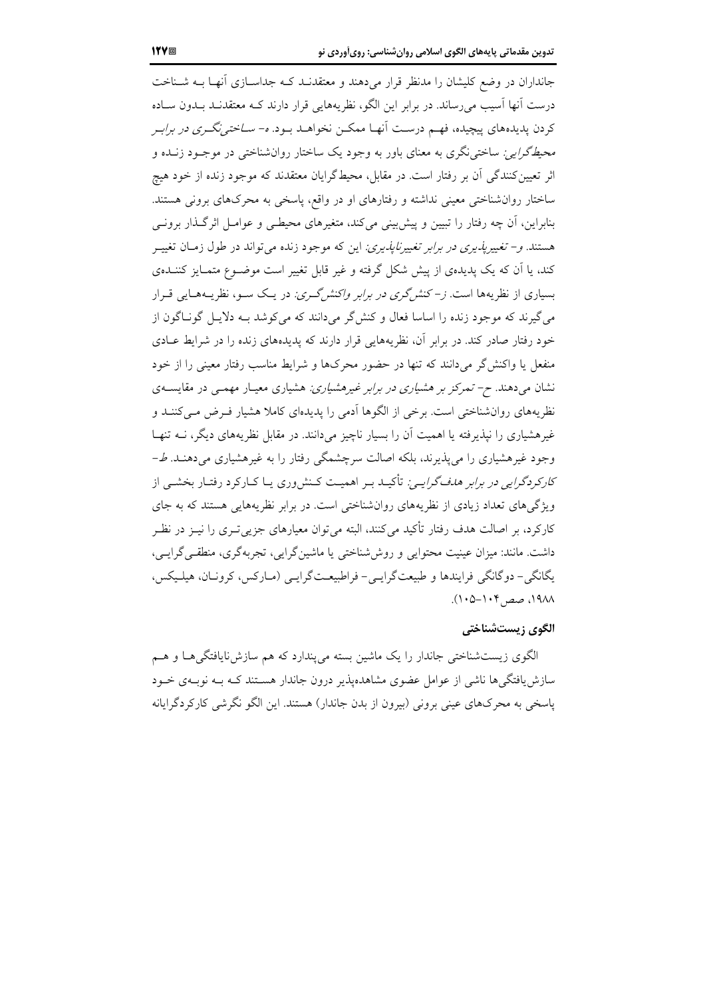جانداران در وضع کلیشان را مدنظر قرار می دهند و معتقدنـد کـه جداسـازی آنهـا بـه شـناخت درست اّنها اّسیب می رساند. در برابر این الگو، نظریههایی قرار دارند کـه معتقدنـد بــدون ســاده کردن پدیدههای پیچیده، فهم درست آنهـا ممکـن نخواهـد بـود. *ه- سـاختی:گـری در برابـر محیطگرایی:* ساختی نگری به معنای باور به وجود یک ساختار روان شناختی در موجـود زنــده و اثر تعیین کنندگی اَن بر رفتار است. در مقابل، محیطگرایان معتقدند که موجود زنده از خود هیچ ساختار روان شناختی معینی نداشته و رفتارهای او در واقع، پاسخی به محرکهای برونی هستند. بنابراین، آن چه رفتار را تبیین و پیش بینی میکند، متغیرهای محیطـی و عوامـل اثرگـذار برونـی هستند. *و– تغییرپذیری در برابر تغییرناپذیری:* این که موجود زنده میتواند در طول زمـان تغییــر کند، یا آن که یک پدیدهی از پیش شکل گرفته و غیر قابل تغییر است موضـوع متمـایز کننــدهی بسیاری از نظریهها است. *ز–کنش گری در برابر واکنش گری:* در یـک سـو، نظریــههـایی قــرار می گیرند که موجود زنده را اساسا فعال و کنش گر می دانند که می کوشد بـه دلایــل گونــاگون از خود رفتار صادر کند. در برابر آن، نظریههایی قرار دارند که پدیدههای زنده را در شرایط عـادی منفعل یا واکنش گر میدانند که تنها در حضور محرکها و شرایط مناسب رفتار معینی را از خود نشان میدهند. *ح- تمرکز بر هشیاری در برابر غیرهشیاری:* هشیاری معیـار مهمـی در مقایســهی نظریههای روانشناختی است. برخی از الگوها آدمی را پدیدهای کاملا هشیار فـرض مـی کننــد و غیرهشیاری را نیذیرفته یا اهمیت آن را بسیار ناچیز می دانند. در مقابل نظریههای دیگر، نــه تنهـا وجود غیرهشیاری را میپذیرند، بلکه اصالت سرچشمگی رفتار را به غیرهشیاری میدهنـد. ط-*کارکردگرایی در برابر هدف گرایـی:* تأکیـد بـر اهمیـت کـنشوری یـا کـارکرد رفتـار بخشـی از ویژگی های تعداد زیادی از نظریههای روانشناختی است. در برابر نظریههایی هستند که به جای کارکرد، بر اصالت هدف رفتار تأکید میکنند، البته می توان معیارهای جزیی تـری را نیــز در نظـر داشت. مانند: میزان عینیت محتوایی و روش شناختی یا ماشین گرایی، تجربه گری، منطقی گرایـی، یگانگی – دو گانگی فرایندها و طبیعت گرایبی – فراطبیعت گرایبی (مبارکس، کرونیان، هیلیکس، ۱۹۸۸، صص۱۰۴–۱۰۵).

#### الگوی ; بستشناختی

الگوی زیستشناختی جاندار را یک ماشین بسته می پندارد که هم سازش نایافتگی هـا و هـم سازش یافتگی ها ناشبی از عوامل عضوی مشاهدهیذیر درون جاندار هســتند کــه بــه نوبــهی خــود پاسخی به محرکهای عینی برونی (بیرون از بدن جاندار) هستند. این الگو نگرشی کارکردگر ایانه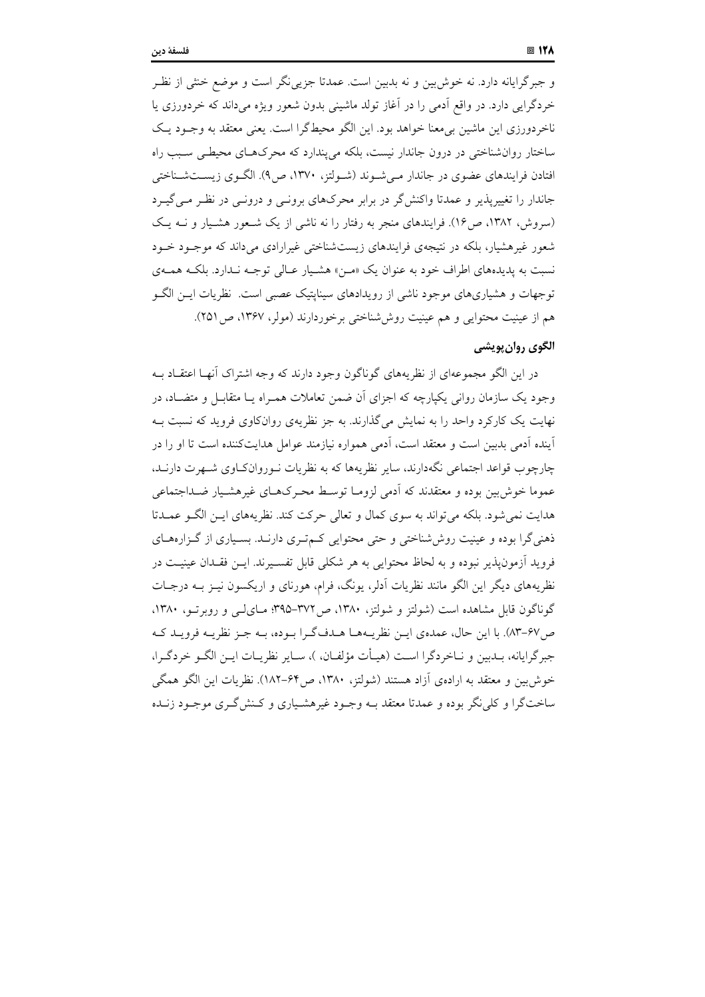و جبرگرایانه دارد. نه خوش بین و نه بدبین است. عمدتا جزیبی نگر است و موضع خنثی از نظـر خردگرايي دارد. در واقع آدمي را در آغاز تولد ماشيني بدون شعور ويژه ميداند كه خردورزي يا ناخردورزی این ماشین بی معنا خواهد بود. این الگو محیطگرا است. یعنی معتقد به وجـود یـک ساختار روانشناختی در درون جاندار نیست، بلکه می پندارد که محرکهای محیطی سبب راه افتادن فرایندهای عضوی در جاندار مے شـوند (شـولتز، ۱۳۷۰، ص۹). الگـوی زیسـتشـناختی جاندار را تغییرپذیر و عمدتا واکنشگر در برابر محرکهای برونـی و درونـی در نظـر مـیگیـرد (سروش، ۱۳۸۲، ص۱۶). فرایندهای منجر به رفتار را نه ناشی از یک شعور هشیار و نـه یـک شعور غیرهشیار، بلکه در نتیجهی فرایندهای زیستشناختی غیرارادی میداند که موجـود خـود نسبت به پدیدههای اطراف خود به عنوان یک «مـن» هشـیار عـالی توجـه نـدارد. بلکـه همـهی توجهات و هشیاریهای موجود ناشی از رویدادهای سینایتیک عصبی است. نظریات ایــن الگــو هم از عینیت محتوایی و هم عینیت روششناختی برخوردارند (مولر، ۱۳۶۷، ص ۲۵۱).

## الگوي روان پويشي

در این الگو مجموعهای از نظریههای گوناگون وجود دارند که وجه اشتراک اّنهـا اعتقــاد بــه وجود یک سازمان روانی یکپارچه که اجزای آن ضمن تعاملات همـراه بـا متقابـل و متضـاد، در نهایت یک کارکرد واحد را به نمایش می گذارند. به جز نظریهی روانکاوی فروید که نسبت بـه آینده اَدمی بدبین است و معتقد است، اَدمی همواره نیازمند عوامل هدایتکننده است تا او را در چارچوب قواعد اجتماعی نگهدارند، سایر نظریهها که به نظریات نـوروانکـاوی شـهرت دارنــد، عموما خوش بین بوده و معتقدند که آدمی لزومـا توسـط محـرکهـای غیرهشـیار ضـداجتماعی هدايت نمي شود. بلكه مي تواند به سوى كمال و تعالى حركت كند. نظريههاى ايـن الگـو عمــدتا ذهنی گرا بوده و عینیت روش شناختی و حتی محتوایی کـمتـری دارنــد. بسـیاری از گـزارههــای فرويد اَزمونيذير نبوده و به لحاظ محتوايي به هر شكلي قابل تفسـيرند. ايــن فقــدان عينيــت در نظریههای دیگر این الگو مانند نظریات آدلر، یونگ، فرام، هورنای و اریکسون نیــز بــه درجــات گوناگون قابل مشاهده است (شولتز و شولتز، ۱۳۸۰، ص۳۷۲–۳۹۵؛ مـای(پی و روبرتـو، ۱۳۸۰، ص ۶۷–۸۳). با این حال، عمدهی ایـن نظریـههـا هـدف\$ـرا بـوده، بـه جـز نظریـه فرویـد کـه جبر گرایانه، پیدبین و نیاخردگرا است (هیأت مؤلفیان، )، سیایر نظرییات این الگ و خردگیرا، خوش بین و معتقد به ارادهی آزاد هستند (شولتز، ۱۳۸۰، ص۴۶–۱۸۲). نظریات این الگو همگی ساختگرا و کلی نگر بوده و عمدتا معتقد بــه وجــود غیرهشـیاری و کــنش گــری موجــود زنــده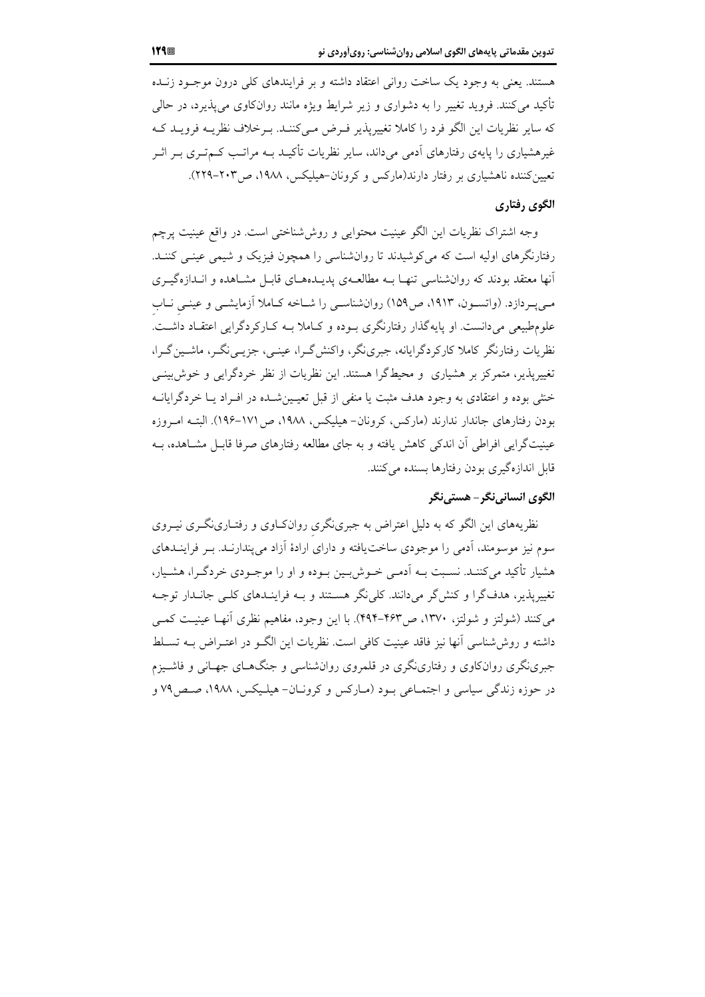هستند. یعنی به وجود یک ساخت روانی اعتقاد داشته و بر فرایندهای کلی درون موجـود زنــده تأکید می کنند. فروید تغییر را به دشواری و زیر شرایط ویژه مانند روانکاوی می پذیرد، در حالی که سایر نظریات این الگو فرد را کاملا تغییریذیر فیرض مے کننـد. بـرخلاف نظریــه فرویــد کــه غیرهشیاری را پایهی رفتارهای اَدمی می(داند، سایر نظریات تأکیــد بــه مراتــب کــمتــری بــر اثــر تعیین کننده ناهشیاری بر رفتار دارند(مارکس و کرونان-هیلیکس، ۱۹۸۸، ص۲۰۳–۲۲۹).

#### الگوی ,فتاری

وجه اشتراک نظریات این الگو عینیت محتوایی و روششناختی است. در واقع عینیت پرچم رفتارنگرهای اولیه است که می کوشیدند تا روانشناسی را همچون فیزیک و شیمی عینـی کننـد. آنها معتقد بودند که روانشناسی تنهـا بــه مطالعــهی پدیــدهــای قابــل مشــاهده و انــدازهگیــری مبی پر دازد. (واتسـون، ۱۹۱۳، ص۱۵۹) روانشناسـی را شـاخه کـاملا آزمایشـی و عینـی نـاب علوم طبیعی میدانست. او پایهگذار رفتارنگری بـوده و کـاملا بـه کـارکردگرایی اعتقـاد داشــت. نظریات رفتارنگر کاملا کارکردگرایانه، جبرینگر، واکنش گـرا، عینـی، جزیــی نگـر، ماشــین گـرا، تغییرپذیر، متمرکز بر هشیاری ًو محیطگرا هستند. این نظریات از نظر خردگرایی و خوش بینبی خش بوده و اعتقادی به وجود هدف مثبت یا منفی از قبل تعیین شیده در افیراد یبا خردگرایانیه بودن رفتارهای جاندار ندارند (مارکس، کرونان-هیلیکس، ۱۹۸۸، ص ۱۷۱–۱۹۶). البتـه امـ وزه عینیتگرایی افراطی آن اندکی کاهش یافته و به جای مطالعه رفتارهای صرفا قابـل مشــاهده، بـه قابل اندازهگیری بودن رفتارها بسنده می کنند.

## الگوي انسانينگر – هستينگر

نظریههای این الگو که به دلیل اعتراض به جبرینگری روانکاوی و رفتـارینگـری نیـروی سوم نیز موسومند، آدمی را موجودی ساختیافته و دارای ارادهٔ آزاد می پندارنــد. بــر فراینــدهای هشیار تأکید می کننـد. نسـبت بــه آدمـی خــوش بــین بــوده و او را موجــودی خردگــرا، هشــیار، تغییرپذیر، هدف گرا و کنش گر می دانند. کلی نگر هستند و بـه فراینـدهای کلـی جانـدار توجـه می کنند (شولتز و شولتز، ۱۳۷۰، ص۴۶۳–۴۹۴). با این وجود، مفاهیم نظری آنهـا عینیـت کمـی داشته و روش شناسی آنها نیز فاقد عینیت کافی است. نظریات این الگ ودر اعتـراض بــه تســلط جبرینگری روانکاوی و رفتارینگری در قلمروی روانشناسی و جنگهـای جهـانی و فاشـيزم در حوزه زندگی سیاسی و اجتمـاعی بـود (مـارکس و کرونـان- هیلـیکس، ۱۹۸۸، صـص۷۹ و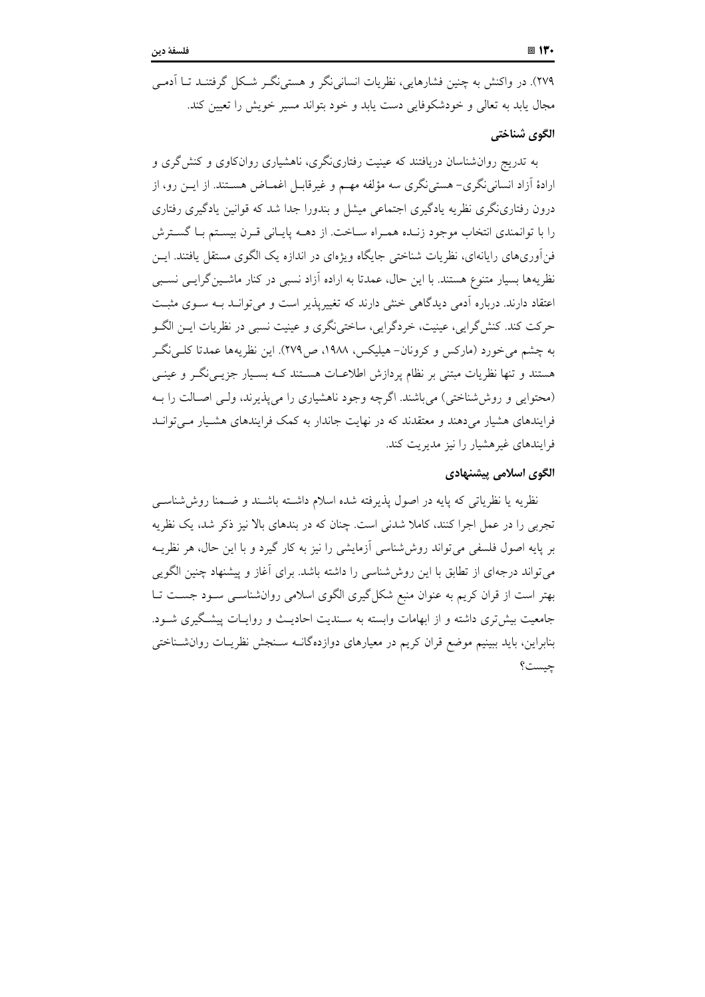٢٧٩). در واکنش به چنین فشارهایی، نظریات انسانی نگر و هستی نگ شکل گرفتنـد تــا آدمـی مجال پابد به تعالی و خودشکوفایی دست پابد و خود بتواند مسیر خویش را تعیین کند.

#### الگوي شناختي

به تدریج روانشناسان دریافتند که عینیت رفتاری گری، ناهشیاری روانکاوی و کنش گری و ارادهٔ آزاد انسانی نگری– هستی نگری سه مؤلفه مهـم و غیرقابـل اغمــاض هســتند. از ایــن رو، از درون رفتارینگری نظریه یادگیری اجتماعی میشل و بندورا جدا شد که قوانین یادگیری رفتاری را با توانمندی انتخاب موجود زنـده همـراه سـاخت. از دهــه پايـاني قـرن بيسـتم بـا گسـترش فن[وریهای رایانهای، نظریات شناختی جایگاه ویژهای در اندازه یک الگوی مستقل یافتند. ایــن نظریهها بسیار متنوع هستند. با این حال، عمدتا به اراده آزاد نسبی در کنار ماشـین گرایـی نسـبی اعتقاد دارند. درباره آدمی دیدگاهی خشی دارند که تغییرپذیر است و می توانـد بـه سـوی مثبـت حرکت کند. کنش گرایی، عینیت، خردگرایی، ساختی نگری و عینیت نسبی در نظریات ایــن الگــو به چشم می خورد (مارکس و کرونان- هیلیکس، ۱۹۸۸، ص۲۷۹). این نظریهها عمدتا کلبی نگ هستند و تنها نظریات مبتنی بر نظام پردازش اطلاعــات هســتند کــه بســیار جزیــی نگــر و عینــی (محتوابی و روش شناختی) می باشند. اگرچه وجود ناهشباری را می پذیرند، ولی اصیالت را به فرایندهای هشیار می دهند و معتقدند که در نهایت جاندار به کمک فرایندهای هشـیار مـی توانـد فرایندهای غیرهشیار را نیز مدیریت کند.

#### الگوی اسلامی پیشنهادی

نظریه یا نظریاتی که پایه در اصول پذیرفته شده اسلام داشــته باشــند و ضــمنا روش۵شناســی تجربی را در عمل اجرا کنند، کاملا شدنی است. چنان که در بندهای بالا نیز ذکر شد، یک نظریه بر پایه اصول فلسفی می تواند روش شناسی آزمایشی را نیز به کار گیرد و با این حال، هر نظریــه می تواند درجهای از تطابق با این روششناسی را داشته باشد. برای آغاز و پیشنهاد چنین الگویی بهتر است از قران کریم به عنوان منبع شکل گیری الگوی اسلامی روان شناسبی سـود جســت تــا جامعیت بیش تری داشته و از ابهامات وابسته به سـندیت احادیـث و روایـات پیشـگیری شـود. بنابراین، باید ببینیم موضع قران کریم در معیارهای دوازدهگانـه سـنجش نظریـات روانشـناختی چیست؟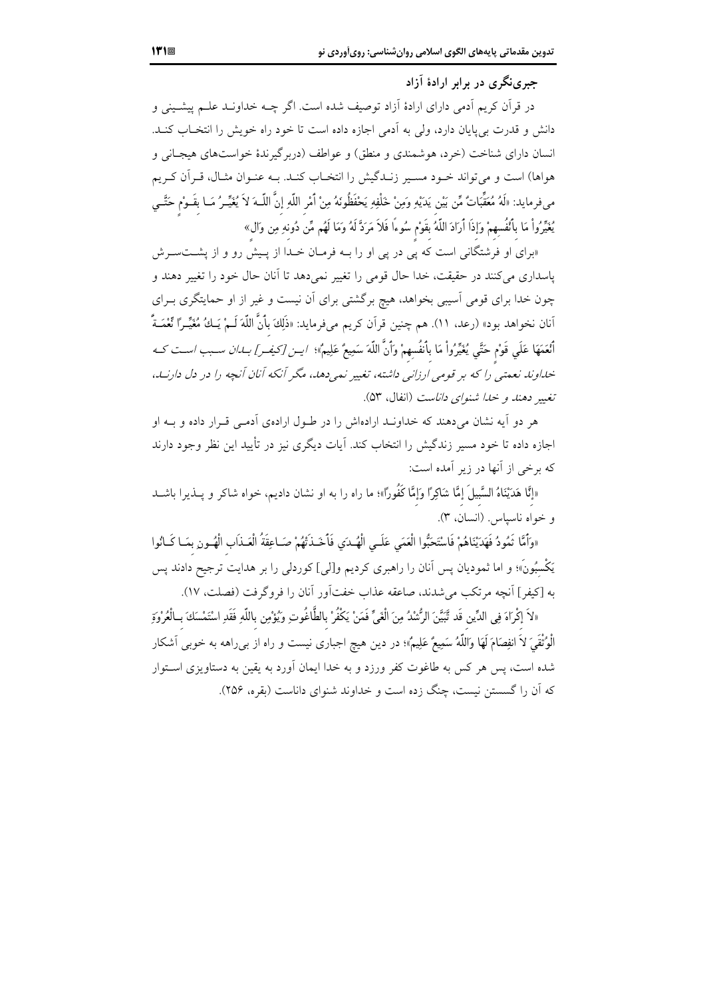جبرینگری در برابر ارادهٔ آزاد

در قرآن کریم آدمی دارای ارادهٔ آزاد توصیف شده است. اگر چــه خداونــد علــم پیشــینی و دانش و قدرت بیپایان دارد، ولی به آدمی اجازه داده است تا خود راه خویش را انتخـاب کنــد. انسان دارای شناخت (خرد، هوشمندی و منطق) و عواطف (دربرگیرندهٔ خواستهای هیجـانی و هواها) است و میتواند خـود مسـير زنـدگيش را انتخـاب كنـد. بـه عنـوان مثـال، قـراَن كـريم ميفرمايد: «لَهُ مُعَقِّبَاتٌ مِّن بَيْن يَدَيْهِ وَمِنْ خَلْفِهِ يَحْفَظُونَهُ مِنْ أَمْرِ اللَّهِ إنَّ اللَّــهَ لاَ يُغَيِّـرُ مَــا بقَــوْم حَتَّــي يُغَيِّرُواْ مَا بِٱنْفُسِهِمْ وَإِذَا أَرَادَ اللَّهُ بقَوْمٍ سُوءًا فَلاَ مَرَدَّ لَهُ وَمَا لَهُم مِّن دُونهِ مِن وَال»

«برای او فرشتگانی است که یی در یی او را بـه فرمـان خـدا از پـیش رو و از پشــتســرش پاسداری میکنند در حقیقت، خدا حال قومی را تغییر نمیدهد تا آنان حال خود را تغییر دهند و چون خدا برای قومی اسیبی بخواهد، هیچ برگشتی برای اَن نیست و غیر از او حمایتگری بـرای .<br>آنان نخواهد بود» (رعد، ١١). هم چنين قراَن كريم مىفرمايد: «ذَلِكَ بأنَّ اللَّهَ لَـمْ يَـكُ مُغَيِّـرًا نِّعْمَـةً أَنْعَمَهَا عَلَى قَوْم حَتَّى يُغَيِّرُواْ مَا بِأَنفُسِهِمْ وَأَنَّ اللّهَ سَمِيعٌ عَلِيمٌ»؛ /يـن [كيف\_ر] *بــاان سـبب اسـت كــه* ۔<br>خداوند نعمتبر ً را که پر قومبر ارزانبر داشته، تغییر نمبر دهد، مگر آنکه آنان آنچه را در دل دارنید، تغيير دهند و خيلا شنواي داناست (انفال، ۵۳).

هر دو آیه نشان می دهند که خداونـد ارادهاش را در طـول ارادهی آدمـی قـرار داده و بـه او اجازه داده تا خود مسیر زندگیش را انتخاب کند. آیات دیگری نیز در تأیید این نظر وجود دارند که برخی از آنها در زیر آمده است:

«إنَّا هَدَيْنَاهُ السَّبِيلَ إمَّا شَاكِرًا وَإِمَّا كَفُورًا»؛ ما راه را به او نشان دادیم، خواه شاکر و پــذيرا باشــد و خواه ناسياس (انسان، ٣).

«وَأَمَّا تَمُودُ فَهَدَيْنَاهُمْ فَاسْتَحَبُّوا الْعَمَى عَلَـى الْهُـدَي فَأَخَـذَتْهُمْ صَـاعِقَةُ الْعَـذَاب الْهُــونِ بمَـا كَـانُوا يَكْسبُونَ»؛ و اما ثموديان پس آنان را راهبري كرديم و[لي] كوردلي را بر هدايت ترجيح دادند پس به [كيفر] أنجه مرتكب مي شدند، صاعقه عذاب خفت أور أنان را فروگرفت (فصلت، ١٧).

«لاَ إكْرَاهَ فِي الدِّين قَد تَّبَيَّنَ الرُّشْدُ مِنَ الْغَيِّ فَمَنْ يَكْفُرْ بالطَّاغُوتِ ويُؤْمِن باللّهِ فَقَدِ اسْتَمْسَكَ بِـالْعُرْوَةِ الْوُتْقَىَ لاَ انفِصَامَ لَهَا وَاللَّهُ سَمِيعٌ عَلِيمٌ»؛ در دين هيچ اجباري نيست و راه از بي راهه به خوبي آشكار شده است، پس هر کس به طاغوت کفر ورزد و به خدا ایمان اَورد به یقین به دستاویزی اسـتوار که آن را گسستن نیست، چنگ زده است و خداوند شنوای داناست (بقره، ۲۵۶).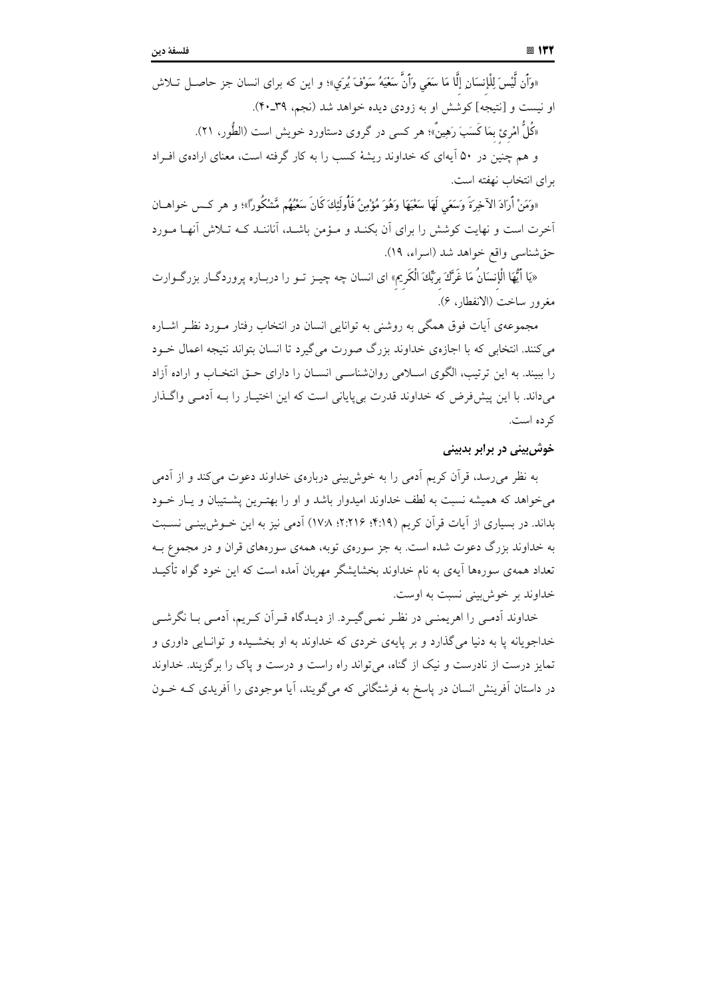«وَأَن لَّيْسَ لِلْإِنسَانِ إِلَّا مَا سَعَى وَأَنَّ سَعْيَهُ سَوْفَ يُرَى»؛ و اين كه براى انسان جز حاصـل تــلاش او نیست و [نتیجه] کوشش او به زودی دیده خواهد شد (نجم، ۳۹ـ۴۰). «کُلَّ امْرِئ بعَا کَسَبَ رَهِینٌ»؛ هر کسی در گروی دستاورد خویش است (الطُّور، ۲۱).

و هم چنین در ۵۰ آیهای که خداوند ریشهٔ کسب را به کار گرفته است، معنای ارادهی افـراد برای انتخاب نهفته است.

«وَمَنْ أَرَادَ الآخِرَةَ وَسَعَى لَهَا سَعْيَهَا وَهُوَ مُؤْمِنٌ فَأُولَئِكَ كَانَ سَعْيُهُم مَّشْكُورًا»؛ و هر كس خواهــان آخرت است و نهایت کوشش را برای آن بکنـد و مـؤمن باشـد، آناننـد کـه تـلاش آنهـا مـورد حق شناسي واقع خواهد شد (اسراء، ١٩).

«يَا أَيُّهَا الْإِنسَانُ مَا غَرَّكَ بِرَبِّكَ الْكَرِيمِ» اي انسان چه چيــز تــو را دربــاره پروردگــار بزرگــوارت مغرور ساخت (الانفطار، ۶).

مجموعهی آیات فوق همگی به روشنی به توانایی انسان در انتخاب رفتار مـورد نظـر اشــاره می کنند. انتخابی که با اجازهی خداوند بزرگ صورت می گیرد تا انسان بتواند نتیجه اعمال خـود را ببیند. به این ترتیب، الگوی اسلامی روانشناسی انسـان را دارای حــق انتخـاب و اراده آزاد می داند. یا این پیش فرض که خداوند قدرت بی پایانی است که این اختیبار را بـه آدمـی واگــذار کر ده است.

## خوش بینی در برابر بدبینی

به نظر می رسد، قرآن کریم اَدمی را به خوش بینی دربارهی خداوند دعوت می کند و از اَدمی می خواهد که همیشه نسبت به لطف خداوند امیدوار باشد و او را بهتـرین پشـتیبان و پـار خـود بداند. در بسیاری از آیات قرآن کریم (۴:۱۹؛ ۲:۲۱۶؛ ۱۷٪) آدمی نیز به این خــوش،بینــی نســبت به خداوند بزرگ دعوت شده است. به جز سورهی توبه، همهی سورههای قران و در مجموع بـه تعداد همهی سورهها اَیهی به نام خداوند بخشایشگر مهربان اَمده است که این خود گواه تأکیـد خداوند بر خوش بينې نسبت به اوست.

خداوند آدمے را اهریمنے در نظـر نمـی گیـرد. از دیـدگاه قـر آن کـریم، آدمـی بـا نگرشـی خداجویانه یا به دنیا می گذارد و بر پایهی خردی که خداوند به او بخشیده و توانیایی داوری و تمایز درست از نادرست و نیک از گناه، می تواند راه راست و درست و پاک را برگزیند. خداوند در داستان اَفرینش انسان در پاسخ به فرشتگانی که می گویند، اَیا موجودی را اَفریدی کـه خــون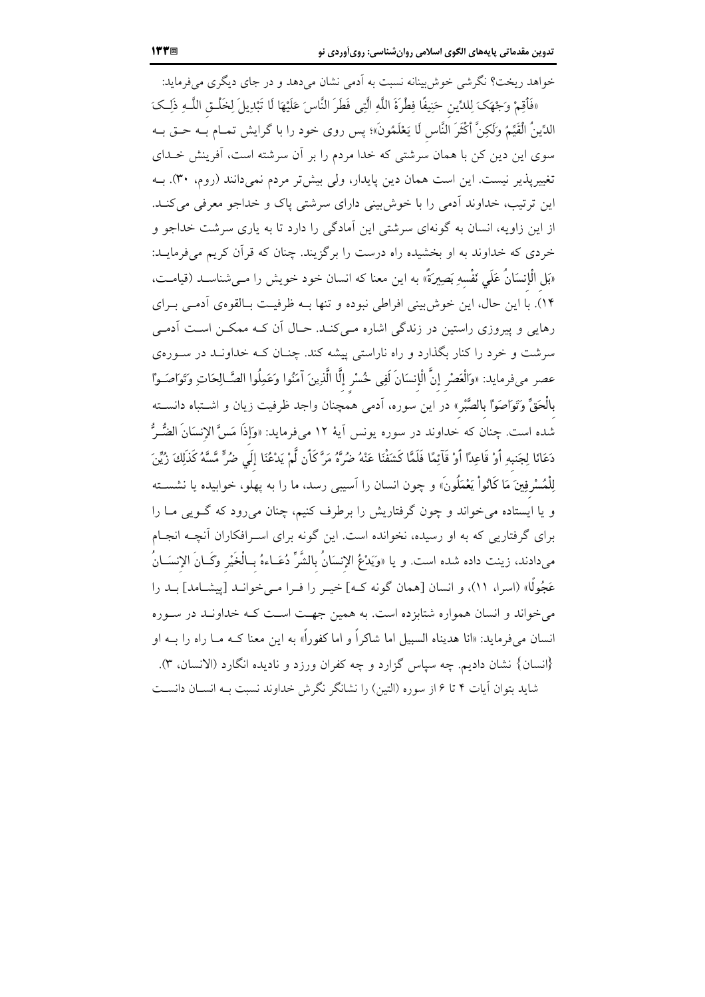.<br>خواهد ریخت؟ نگرشی خوش بینانه نسبت به اَدمی نشان میدهد و در جای دیگری میفرماید: «فَأَقِمْ وَجْهَكَ لِلدِّينِ حَنِيفًا فِطْرَةَ اللَّهِ الَّتِي فَطَرَ النَّاسَ عَلَيْهَا لَا تَبْدِيلَ لِخَلْـق اللَّـهِ ذَلِـكَ الدِّينُ الْقَيِّمُ وَلَكِنَّ أَكْثَرَ النَّاسِ لَا يَعْلَمُونَ»؛ پس روى خود را با گرايش تمـام بــه حــق بــه سوی این دین کن با همان سرشتی که خدا مردم را بر آن سرشته است، آفرینش خــدای تغییرپذیر نیست. این است همان دین پایدار، ولی بیشتر مردم نمیدانند (روم، ۳۰). بــه این ترتیب، خداوند آدمی را با خوشبینی دارای سرشتی پاک و خداجو معرفی میکند. از این زاویه، انسان به گونهای سرشتی این آمادگی را دارد تا به یاری سرشت خداجو و خردی که خداوند به او بخشیده راه درست را برگزیند. چنان که قرآن کریم میفرمایـد: «بَل الْإنسَانُ عَلَى نَفْسهِ بَصِيرَةٌ» به اين معنا كه انسان خود خويش را مـىشناســد (قيامــت، ۱۴). با این حال، این خوشبینی افراطی نبوده و تنها بـه ظرفیـت بـالقوهی أدمـی بـرای رهایی و پیروزی راستین در زندگی اشاره مـی کنـد. حـال آن کـه ممکــن اسـت آدمـی سرشت و خرد را کنار بگذارد و راه ناراستی پیشه کند. چنــان کــه خداونــد در ســورهی عصر مىفرمايد: «وَالْعَصْر إنَّ الْإنسَانَ لَفِي خُسْرٍ إنَّا الَّذِينَ آمَنُوا وَعَمِلُوا الصَّـالِحَاتِ وَتَوَاصَـوْا بالْحَقِّ وَتَوَاصَوْا بالصَّبْر» در اين سوره، اَدمى همچنان واجد ظرفيت زيان و اشــتباه دانســته شده است. چنان که خداوند در سوره یونس اَیهٔ ۱۲ میفرماید: «وَإِذَا مَسَّ الإِنسَانَ الضُّـرُّ دَعَانَا لِجَنبهِ أَوْ قَاعِدًا أَوْ قَآئِمًا فَلَمَّا كَشَفْنَا عَنْهُ ضُرَّةُ مَرَّ كَأَن لَّمْ يَدْعُنَا إلَي ضُرٍّ مَّسَّهُ كَذَلِكَ زُيِّنَ لِلْمُسْرِفِينَ مَا كَانُواْ يَعْمَلُونَ» و چون انسان را اَسيبي رسد، ما را به پهلو، خوابيده يا نشســته و یا ایستاده می خواند و چون گرفتاریش را برطرف کنیم، چنان می رود که گـویی مـا را برای گرفتاریی که به او رسیده، نخوانده است. این گونه برای اسـرافکاران آنچــه انجــام مىدادند، زينت داده شده است. و يا «وَيَدْعُ الإنسَانُ بالشَّرِّ دُعَــاءهُ بــالْخَيْر وَكَــانَ الإنسَــانُ عَجُولًا» (اسرا، ١١)، و انسان [همان گونه کـه] خیـر را فـرا مـی خوانـد [پیشــامد] بــد را می خواند و انسان همواره شتابزده است. به همین جهت است کـه خداونـد در سـوره انسان میفرماید: «انا هدیناه السبیل اما شاکراً و اما کفوراً» به این معنا کــه مــا راه را بــه او {انسان} نشان دادیم. چه سیاس گزارد و چه کفران ورزد و نادیده انگارد (الانسان، ۳). شاید بتوان آیات ۴ تا ۶ از سوره (التین) را نشانگر نگرش خداوند نسبت بـه انســان دانســت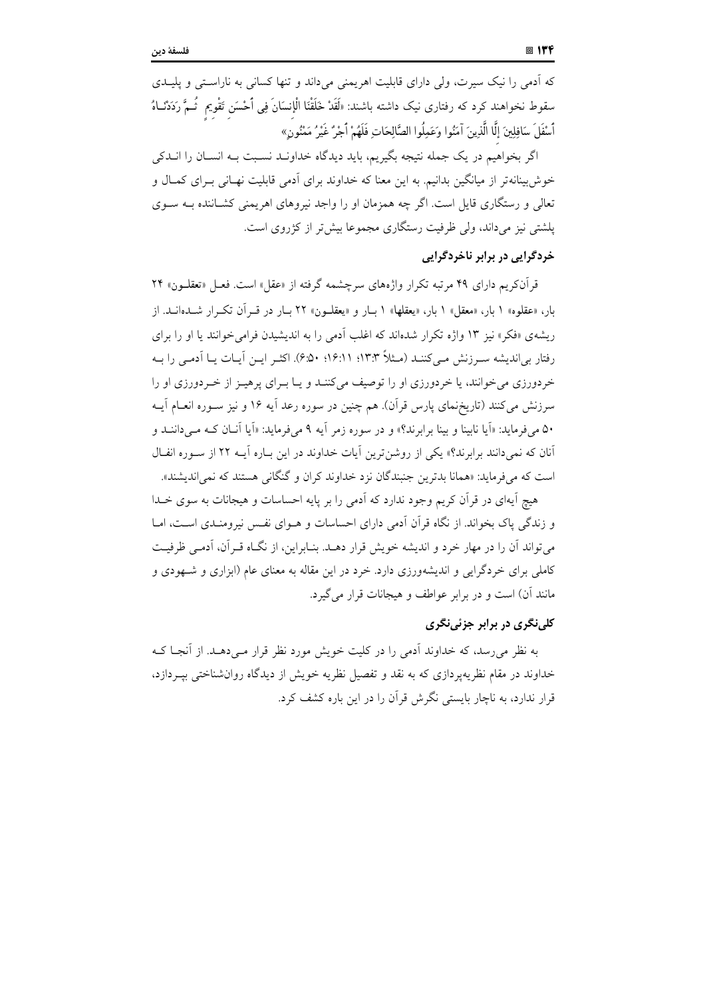که اَدمی را نیک سیرت، ولی دارای قابلیت اهریمنی میداند و تنها کسانی به ناراستی و پلیـدی سقوط نخواهند کرد که رفتاری نیک داشته باشند: «لَقَدْ خَلَقْنَا الْإِنسَانَ فِی أَحْسَن تَقْویم ثُـمَّ رَدَدْنـاهُ أَسْفَلَ سَافِلِينَ إِلَّا الَّذِينَ آمَنُوا وَعَمِلُوا الصَّالِحَاتِ فَلَهُمْ أَجْرُ غَيْرُ مَمْنُون

اگر بخواهیم در یک جمله نتیجه بگیریم، باید دیدگاه خداونـد نسـبت بـه انســان را انــدکی خوش بینانه تر از میانگین بدانیم. به این معنا که خداوند برای آدمی قابلیت نهـانی بـرای کمـال و تعالی و رستگاری قایل است. اگر چه همزمان او را واجد نیروهای اهریمنی کشـاننده بـه سـوی یلشتی نیز می(اند، ولی ظرفیت رستگاری مجموعا بیش تر از کژروی است.

## خردگرایی در برابر ناخردگرایی

قرآنکریم دارای ۴۹ مرتبه تکرار واژههای سرچشمه گرفته از «عقل» است. فعـل «تعقلــون» ۲۴ بار، «عقلوه» ۱ بار، «معقل» ۱ بار، «يعقلها» ۱ بـار و «يعقلــون» ۲۲ بـار در قــرآن تكــرار شــدهانــد. از ریشهی «فکر» نیز ۱۳ واژه تکرار شدهاند که اغلب آدمی را به اندیشیدن فرامی خوانند یا او را برای رفتار بی|ندیشه سـرزنش مـی)کننـد (مـثلاً ۱۳:۳؛ ۱۶:۱۱؛ ۶:۵۰). اکثـر ایـن آیـات یـا آدمـی را بـه خردورزی می خوانند، یا خردورزی او را توصیف میکننـد و یـا بـرای پرهیـز از خـردورزی او را سرزنش میکنند (تاریخٖنمای پارس قرآن). هم چنین در سوره رعد آیه ۱۶ و نیز سـوره انعـام آیــه ۵۰ میفرماید: «اَیا نابینا و بینا برابرند؟» و در سوره زمر اَیه ۹ میفرماید: «اَیا اَنـان کـه مـیداننـد و آنان که نمی دانند برابرند؟» یکی از روشن ترین آیات خداوند در این بـاره آیــه ۲۲ از ســوره انفــال است که می فرماید: «همانا بدترین جنبندگان نزد خداوند کران و گنگانی هستند که نمی اندیشند».

هیچ آیهای در قرآن کریم وجود ندارد که آدمی را بر پایه احساسات و هیجانات به سوی خــدا و زندگی پاک بخواند. از نگاه قرآن آدمی دارای احساسات و هــوای نفـس نیرومنــدی اســت، امــا می تواند آن را در مهار خرد و اندیشه خویش قرار دهـد. بنـابراین، از نگـاه قـرآن، آدمـی ظرفیـت کاملی برای خردگرایی و اندیشهورزی دارد. خرد در این مقاله به معنای عام (ابزاری و شـهودی و مانند آن) است و در برابر عواطف و هیجانات قرار می گیرد.

## کلی نگری در برابر جزئی نگری

به نظر می رسد، که خداوند آدمی را در کلیت خویش مورد نظر قرار مـی دهـد. از آنجـا کـه خداوند در مقام نظریهپردازی که به نقد و تفصیل نظریه خویش از دیدگاه روان شناختی بیـردازد، قرار ندارد، به ناچار بایستی نگرش قرآن را در این باره کشف کرد.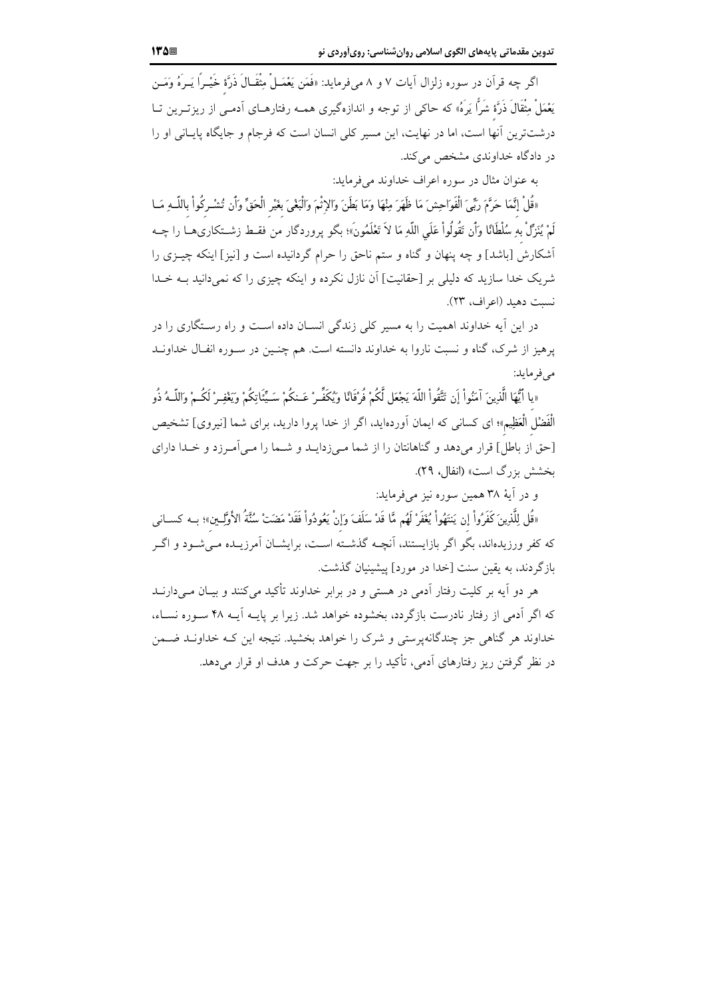اگر چه قرآن در سوره زلزال آیات ۷ و ۸ میفرماید: «فَمَن يَعْمَــلْ مِثْقَــالَ ذَرَّة خَيْــرًا يَــرَهُ وَمَــن يَعْمَلْ مِثْقَالَ ذَرَّة شَرًّا يَرَهُ» که حاکی از توجه و اندازهگیری همـه رفتارهــای اَدمـی از ریزتــرین تــا درشتترین آنها است، اما در نهایت، این مسیر کلی انسان است که فرجام و جایگاه پایـانی او را در دادگاه خداوندی مشخص می کند.

به عنوان مثال در سوره اعراف خداوند می فرماید:

«قُلْ إِنَّمَا حَرَّمَ رَبِّىَ الْفَوَاحِشَ مَا ظَهَرَ مِنْهَا وَمَا بَطَنَ وَالإِثْمَ وَالْبَغْىَ بغَيْر الْحَقِّ وَأَن تُشْـركُواْ باللّــهِ مَــا لَمْ يُنَزِّلْ بِهِ سُلْطَانًا وَأَن تَقُولُواْ عَلَى اللَّهِ مَا لاَ تَعْلَمُونَ»؛ بگو پروردگار من فقـط زشــتكارىهــا را چــه أشكارش [باشد] و چه پنهان و گناه و ستم ناحق را حرام گردانیده است و [نیز] اینکه چیـزی را شریک خدا سازید که دلیلی بر [حقانیت] اَن نازل نکرده و اینکه چیزی را که نمیدانید بـه خـدا نسبت دهيد (اعراف، ٢٣).

در این آیه خداوند اهمیت را به مسیر کلی زندگی انسـان داده اسـت و راه رسـتگاری را در یرهیز از شرک، گناه و نسبت ناروا به خداوند دانسته است. هم چنـین در سـوره انفـال خداونــد می فر ماید:

«يا أَيُّهَا الَّذِينَ آمَنُواْ إِن تَتَّقُواْ اللَّهَ يَجْعَل لَّكُمْ فُرْقَانًا وَيُكَفِّيرْ عَـنكُمْ سَـيِّئَاتكُمْ ويَغْفِيرْ لَكُـمْ وَاللَّـهُ ذُو الْفَضْل الْعَظِيم»؛ اى كسانى كه ايمان اَوردەايد، اگر از خدا پروا داريد، براى شما [نيروى] تشخيص [حق از باطل] قرار می دهد و گناهانتان را از شما مه زدایـد و شـما را مـی آمـرزد و خـدا دارای بخشش بزرگ است» (انفال، ۲۹).

و در آيۀ ٣٨ همين سوره نيز مي فرمايد:

«قُل لِلَّذِينَ كَفَرُواْ إن يَنتَهُواْ يُغَفِّرْ لَهُم مَّا قَدْ سَلَفَ وَإنْ يَعُودُواْ فَقَدْ مَضَتْ سُنَّةُ الأَوَّلِــين»؛ بــه كســانـى که کفر ورزیدهاند، بگو اگر بازایستند، آنچــه گذشــته اســت، برایشــان آمرزیــده مــیشــود و اگــر بازگردند، به یقین سنت [خدا در مورد] پیشبنیان گذشت.

هر دو آیه بر کلیت رفتار آدمی در هستی و در برابر خداوند تأکید می کنند و بیـان مــی دارنــد که اگر آدمی از رفتار نادرست بازگردد، بخشوده خواهد شد. زیرا بر پایــه آیــه ۴۸ ســوره نســاء، خداوند هر گناهی جز چندگانهپرستی و شرک را خواهد بخشید. نتیجه این کـه خداونــد ضــمن در نظر گرفتن ریز رفتارهای اَدمی، تأکید را بر جهت حرکت و هدف او قرار می دهد.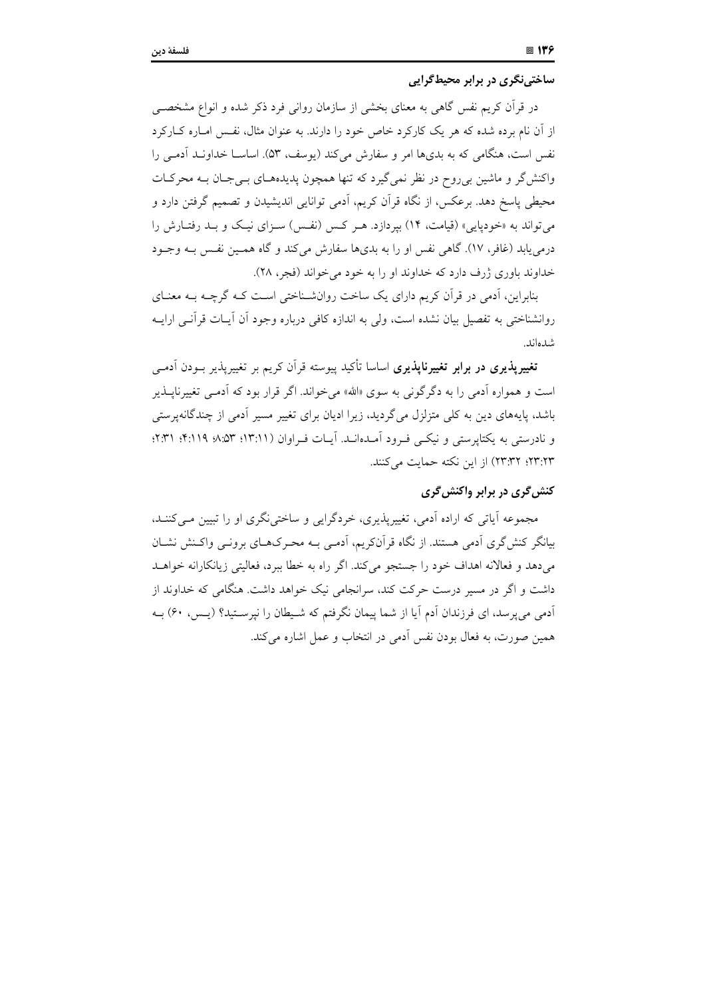ساختینگری در برابر محیط گرایی

در قرآن کریم نفس گاهی به معنای بخشی از سازمان روانی فرد ذکر شده و انواع مشخصــی از آن نام برده شده که هر یک کارکرد خاص خود را دارند. به عنوان مثال، نفس امـاره کــارکرد نفس است، هنگامی که به بدیها امر و سفارش می کند (یوسف، ۵۳). اساســا خداونــد آدمـی را واکنش گر و ماشین برروح در نظر نمی گیرد که تنها همچون پدیدههای بےجان بـه محرکـات محیطی پاسخ دهد. برعکس، از نگاه قرآن کریم، آدمی توانایی اندیشیدن و تصمیم گرفتن دارد و می تواند به «خودپایی» (قیامت، ۱۴) بپردازد. هـر کـس (نفـس) سـزای نیـک و بـد رفتـارش را درمی یابد (غافر، ١٧). گاهی نفس او را به بدیها سفارش میکند و گاه همـین نفـس بــه وجــود خداوند باوري ژرف دارد كه خداوند او را به خود مي خواند (فجر، ٢٨).

بنابراین، آدمی در قرآن کریم دارای یک ساخت روانشـناختی اسـت کـه گرچـه بـه معنـای روانشناختی به تفصیل بیان نشده است، ولی به اندازه کافی درباره وجود اَن اَیــات قراَنــی ارایــه شدهاند.

<mark>تغییرپذیری در برابر تغییرناپذیری</mark> اساسا تأکید پیوسته قرآن کریم بر تغییرپذیر بــودن آدمــی است و همواره آدمی را به دگرگونی به سوی «الله» می خواند. اگر قرار بود که آدمـی تغییرنایــذیر باشد، پایههای دین به کلی متزلزل می گردید، زیرا ادیان برای تغییر مسیر آدمی از چندگانهپرستی و نادرستی به یکتاپرستی و نیکبی فـرود اَمـدهانـد. اَیـات فـراوان (١٣:١١؛ ٨:۵٣؛ ٠.٣: ٠.١٣)؛ ٢٣:٢٣؛ ٢٣:٢٣) از اين نكته حمايت مي كنند.

## کنش گری در برابر واکنش گری

مجموعه آیاتی که اراده آدمی، تغییریذیری، خردگرایی و ساختی نگری او را تبیین مبے کننـد، بیانگر کنش گری آدمی هستند. از نگاه قرآنکریم، آدمـی بــه محـرک6ـای برونــی واکـنش نشــان می دهد و فعالانه اهداف خود را جستجو می کند. اگر راه به خطا بیرد، فعالیتی زیانکارانه خواهــد داشت و اگر در مسیر درست حرکت کند، سرانجامی نیک خواهد داشت. هنگامی که خداوند از آدمی می پرسد، ای فرزندان آدم آیا از شما پیمان نگرفتم که شـیطان را نیرســتید؟ (پـس، ۶۰) بـه همین صورت، به فعال بودن نفس آدمی در انتخاب و عمل اشاره می کند.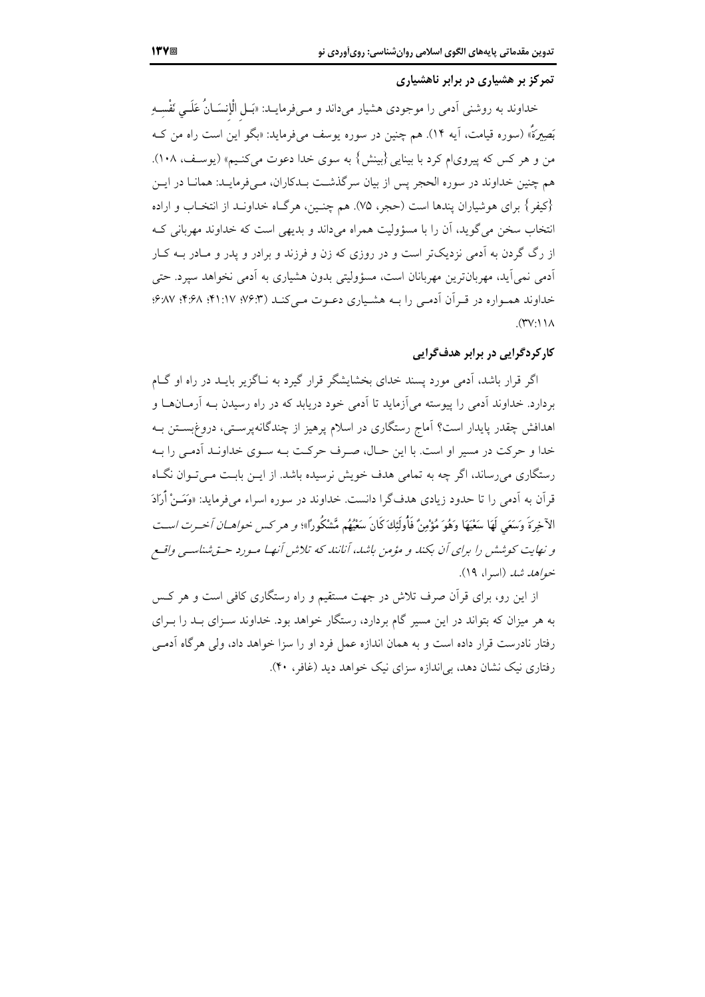## تمرکز بر هشیاری در برابر ناهشیاری

خداوند به روشنی اَدمی را موجودی هشیار میداند و مــیفرمایــد: «بَــل الْإنسَــانُ عَلَــی نَفْســهِ بَصِيرَةٌ» (سوره قيامت، آيه ١۴). هم چنين در سوره يوسف ميفرمايد: «بگو اين است راه من کـه من و هر کس که پیروی|م کرد با بینایی {بینش} به سوی خدا دعوت میکنیم» (یوسف، ۱۰۸). هم چنین خداوند در سوره الحجر پس از بیان سرگذشت بـدکاران، مـیفرمایـد: همانـا در ایــن {كيفر } براي هوشياران يندها است (حجر، ٧۵). هم چنـين، هرگــاه خداونــد از انتخــاب و اراده انتخاب سخن می گوید، آن را با مسؤولیت همراه می داند و بدیهی است که خداوند مهربانی ک از رگ گردن به آدمی نزدیکتر است و در روزی که زن و فرزند و برادر و پدر و مـادر بــه کـار ادمی نمی اید، مهربانترین مهربانان است، مسؤولیتی بدون هشیاری به اَدمی نخواهد سپرد. حتی خداوند همواره در قرآن آدمی را بـه هشیاری دعـوت مـی کنـد (۶:۳/ ۰۴:۶۸؛ ۰۴:۶۸) ۶۸۷:  $(\Upsilon \vee \cdot) \wedge$ 

## کارکردگرایی در برابر هدفگرایی

اگر قرار باشد، آدمی مورد پسند خدای بخشایشگر قرار گیرد به نـاگزیر بایــد در راه او گــام بردارد. خداوند آدمی را پیوسته می آزماید تا آدمی خود دریابد که در راه رسیدن بــه آرمــانهــا و اهدافش چقدر پایدار است؟ آماج رستگاری در اسلام برهیز از چندگانهپرسـتی، دروغ!ســتن بـه خدا و حرکت در مسیر او است. با این حـال، صـرف حرکـت بـه سـوی خداونـد آدمـی را بـه رستگاری می رساند، اگر چه به تمامی هدف خویش نرسیده باشد. از ایـن بایـت مـی تـوان نگـاه قرآن به آدمی را تا حدود زیادی هدف گرا دانست. خداوند در سوره اسراء می فرماید: «وَمَــنْ أَرَادَ الآخرةَ وَسَعَى لَهَا سَعْيَهَا وَهُوَ مُؤْمِنٌ فَأُولَئِكَ كَانَ سَعْيُهُم**.** مَّشْكُوداً»؛ و هر كس خوا*هيان أخبرت است* و نهایت کوشش را برای آن بکند و مؤمن باشد، آنانند که تلاش آنها میورد حتی شناستی واقع خواهد شد (اسرا، ۱۹).

از این رو، برای قرآن صرف تلاش در جهت مستقیم و راه رستگاری کافی است و هر کس به هر میزان که بتواند در این مسیر گام بردارد، رستگار خواهد بود. خداوند سـزای بــد را بــرای رفتار نادرست قرار داده است و به همان اندازه عمل فرد او را سزا خواهد داد، ولی هرگاه آدمے رفتاری نیک نشان دهد، بی اندازه سزای نیک خواهد دید (غافر، ۴۰).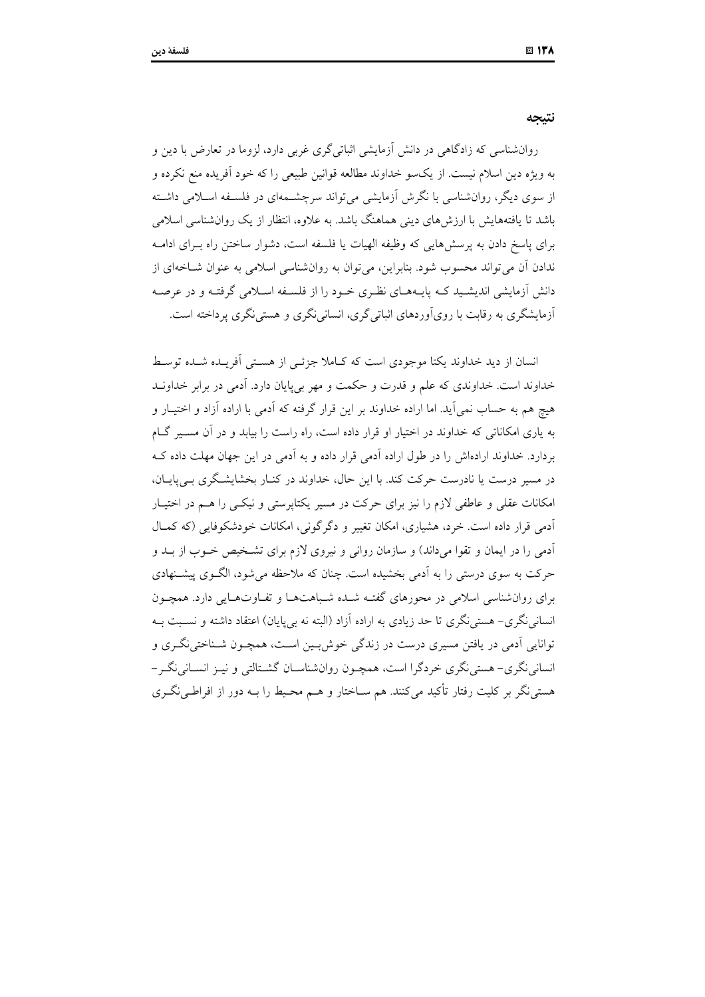نتيجه

روانشناسی که زادگاهی در دانش آزمایشی اثباتیگری غربی دارد، لزوما در تعارض با دین و به ویژه دین اسلام نیست. از یکسو خداوند مطالعه قوانین طبیعی را که خود آفریده منع نکرده و از سوی دیگر، روانشناسی با نگرش آزمایشی می تواند سرچشـمهای در فلسـفه اسـلامی داشـته باشد تا یافتههایش با ارزش های دینی هماهنگ باشد. به علاوه، انتظار از یک روانشناسی اسلامی برای پاسخ دادن به پرسشهایی که وظیفه الهیات یا فلسفه است، دشوار ساختن راه بـرای ادامـه ندادن آن می تواند محسوب شود. بنابراین، می توان به روان شناسی اسلامی به عنوان شباخهای از دانش آزمایشی اندیشـید کـه پایـههـای نظـری خـود را از فلســفه اســلامی گرفتـه و در عرصـه آزمایشگری به رقابت با رویآوردهای اثباتی گری، انسانی نگری و هستی نگری پرداخته است.

انسان از دید خداوند یکتا موجودی است که کـاملا جزئـی از هسـتی اَفریـده شـده توسـط خداوند است. خداوندی که علم و قدرت و حکمت و مهر بی پایان دارد. اَدمی در برابر خداونــد هیچ هم به حساب نمی آید. اما اراده خداوند بر این قرار گرفته که آدمی با اراده آزاد و اختیـار و به پاری امکاناتی که خداوند در اختیار او قرار داده است، راه راست را بیابد و در آن مسـیر گـام بردارد. خداوند ارادهاش را در طول اراده آدمی قرار داده و به آدمی در این جهان مهلت داده ک در مسیر درست یا نادرست حرکت کند. با این حال، خداوند در کنـار بخشایشـگری بـی،یایـان، امکانات عقلی و عاطفی لازم را نیز برای حرکت در مسیر یکتاپرستی و نیکسی را هـم در اختیـار آدمی قرار داده است. خرد، هشیاری، امکان تغییر و دگر گونی، امکانات خودشکوفایی (که کمپال آدمی را در ایمان و تقوا میداند) و سازمان روانی و نیروی لازم برای تشخیص خـوب از بـد و حرکت به سوی درستی را به آدمی بخشیده است. چنان که ملاحظه می شود، الگـوی پیشـنهادی برای روان شناسی اسلامی در محورهای گفتـه شـده شـباهتهـا و تفـاوتهـایی دارد. همچـون انسانی نگری– هستی نگری تا حد زیادی به اراده آزاد (البته نه بی پایان) اعتقاد داشته و نسبت بـه توانایی آدمی در یافتن مسیری درست در زندگی خوشبین است، همچـون شـناختینگـری و انسانی نگری– هستی نگری خردگرا است، همچـون روانشناسـان گشـتالتی و نیـز انسـانی نگـر – هستی نگر بر کلیت رفتار تأکید می کنند. هم سـاختار و هــم محـیط را بــه دور از افراطـی نگــری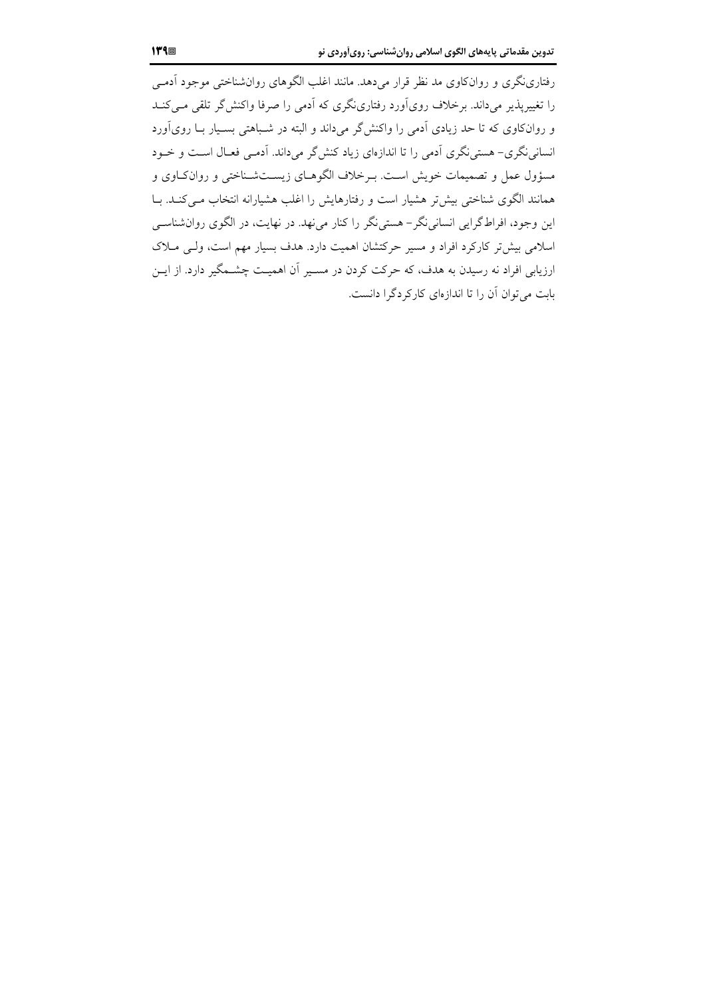رفتارینگری و روانکاوی مد نظر قرار میدهد. مانند اغلب الگوهای روانشناختی موجود آدمے را تغییرپذیر می داند. برخلاف رویآورد رفتارینگری که آدمی را صرفا واکنش گر تلقی مبی کنـد و روانکاوی که تا حد زیادی آدمی را واکنشگر میداند و البته در شـباهتی بسـیار بــا رویآورد انسانی نگری– هستی نگری اَدمی را تا اندازهای زیاد کنش گر میداند. اَدمـی فعـال اسـت و خـود مسؤول عمل و تصمیمات خویش است. بـرخلاف الگوهـای زیســتشـناختی و روانکــاوی و همانند الگوی شناختی بیشتر هشیار است و رفتارهایش را اغلب هشیارانه انتخاب می کنـد. بـا این وجود، افراط گرایی انسانی نگر– هستی نگر را کنار می نهد. در نهایت، در الگوی روان شناسبی اسلامی بیش تر کارکرد افراد و مسیر حرکتشان اهمیت دارد. هدف بسیار مهم است، ولـی مـلاک ارزیابی افراد نه رسیدن به هدف، که حرکت کردن در مسـیر آن اهمیـت چشــمگیر دارد. از ایــن بابت می توان آن را تا اندازهای کارکردگرا دانست.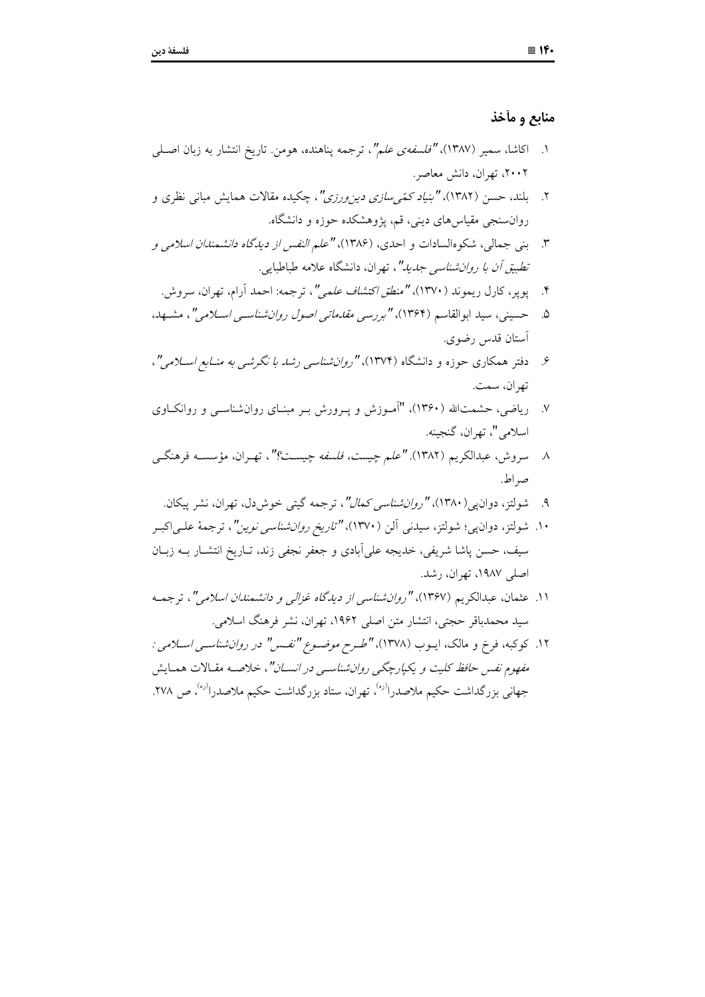## منابع و مأخذ

- ۱. اکاشا، سمیر (۱۳۸۷)، *"فلسفهی علم"*، ترجمه پناهنده، هومن. تاریخ انتشار به زبان اصــلمی ۲۰۰۲، تهران، دانش معاصر.
- ۲. بلند، حسن (۱۳۸۲)، *"بنیاد کمّی سازی دین ورزی"*، چکیده مقالات همایش مبانی نظری و روانسنجی مقیاس های دینی، قم، پژوهشکده حوزه و دانشگاه.
- ۳. بني جمالي، شكوهالسادات و احدي، (۱۳۸۶)، "علم *النفس از ديدگاه دانشمندان اسلامي و* تطبی*ق أن با دوان شناسی جدید"*، تهران، دانشگاه علامه طباطبایی.
	- ۴. يوير، كارل ريموند (١٣٧٠)، "م*نطق اكتشاف علمي"*، ترجمه: احمد آرام، تهران، سروش.
- ۰. حسینی، سید ابوالقاسم (۱۳۶۴)، *"بررسی مقدماتی اصول روان شناسبی اسلامی"*، مشبهد، أستان قدس رضوي.
- ۶. دفتر همکاری جوزه و دانشگاه (۱۳۷۴)، "ر*وان شناسی رشد با نگرشی به منبایع اسپلامی*"، تھ ان، سمت.
- ۷. ریاضی، حشمتالله (۱۳۶۰)، "آمـوزش و پـرورش بـر مبنـای روانشناسـی و روانکـاوی اسلامي"، تهران، گنجينه.
- ۸ سروش، عبدالكريم (۱۳۸۲). *"علم چيست، فلسفه چيسـت؟"*، تهـران، مؤسســه فرهنگــي صر اط.
	- شولتز، دوان یی (۱۳۸۰)، *"روانشناسی کمال"*، ترجمه گیتی خوش دل، تهران، نشر پیکان.  $\mathcal{A}$
- ۱۰. شولتز، دوانLپی؛ شولتز، سیدنی آلن (۱۳۷۰)، *"تاریخ روانشناسی نوین"*، ترجمهٔ علـی|کبـر سیف، حسن پاشا شریفی، خدیجه علی اّبادی و جعفر نجفی زند، تـاریخ انتشـار بــه زبـان اصلے ۱۹۸۷، تھران، رشد.
- ۱۱. عثمان، عبدالكريم (۱۳۶۷)، *"روان شناسي از ديدگاه غزالي و دانشمندان اسلامي"*، ترجمـه سيد محمدباقر حجتي، انتشار متن اصلي ١٩۶٢، تهران، نشر فرهنگ اسلامي.
- ۱۲. کوکبه، فرخ و مالک، ایــوب (۱۳۷۸)، *"طــرح موضــوع "نفــس" در روان شناســی اســلامی :* مفهوم نفس حافظ کلیت و یکیارچگی روانشناسبی در انســان"، خلاصــه مقـالات همـایش جهانی بزرگداشت حکیم ملاصدرا<sup>(ره)</sup>، تهران، ستاد بزرگداشت حکیم ملاصدرا<sup>(ره)</sup>، ص ۲۷۸.